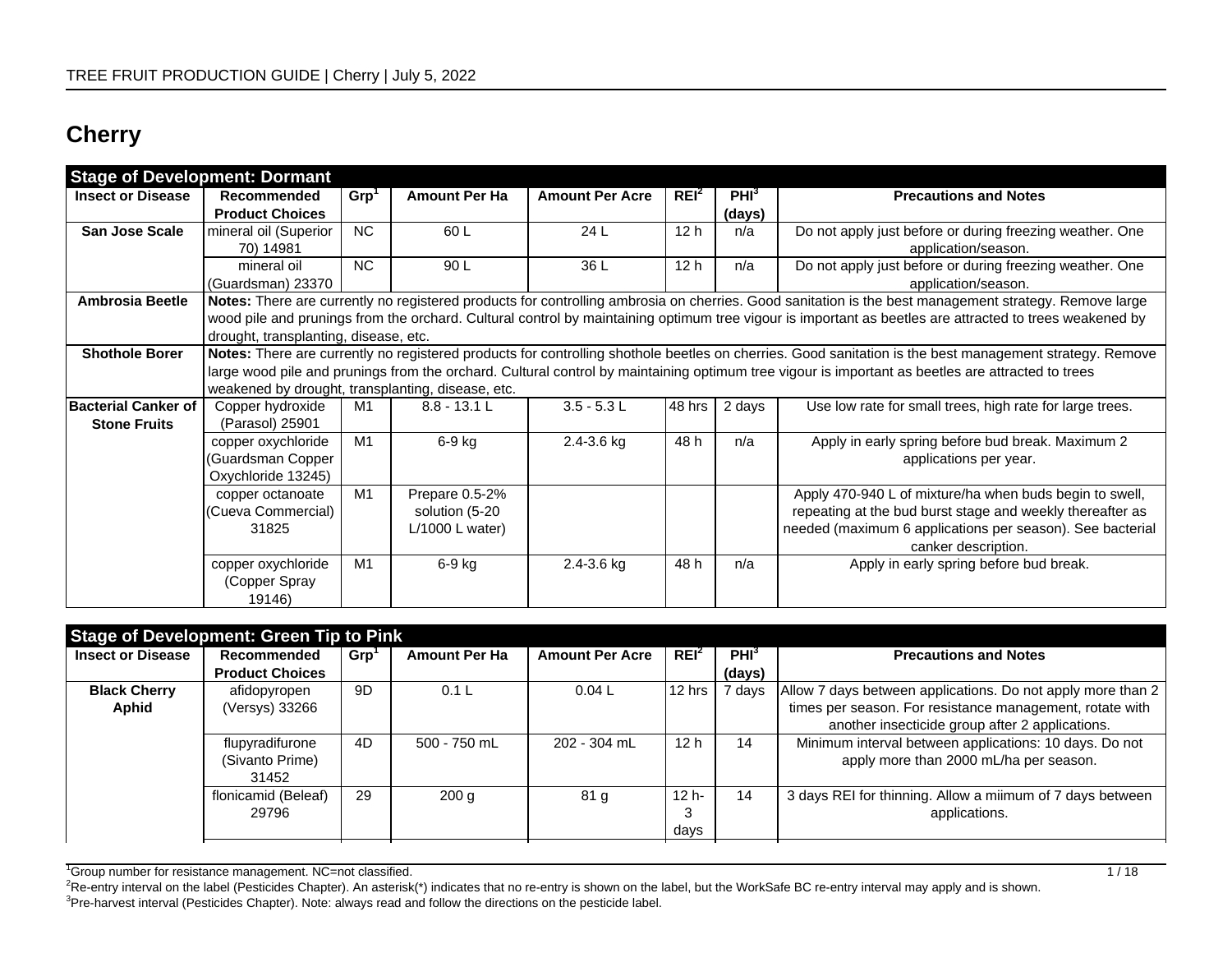## **Cherry**

| <b>Stage of Development: Dormant</b> |                                                   |                  |                      |                        |                  |                  |                                                                                                                                                         |
|--------------------------------------|---------------------------------------------------|------------------|----------------------|------------------------|------------------|------------------|---------------------------------------------------------------------------------------------------------------------------------------------------------|
| <b>Insect or Disease</b>             | Recommended                                       | Grp <sup>1</sup> | <b>Amount Per Ha</b> | <b>Amount Per Acre</b> | REI <sup>2</sup> | PHI <sup>3</sup> | <b>Precautions and Notes</b>                                                                                                                            |
|                                      | <b>Product Choices</b>                            |                  |                      |                        |                  | (days)           |                                                                                                                                                         |
| <b>San Jose Scale</b>                | mineral oil (Superior                             | <b>NC</b>        | 60 L                 | 24L                    | 12 <sub>h</sub>  | n/a              | Do not apply just before or during freezing weather. One                                                                                                |
|                                      | 70) 14981                                         |                  |                      |                        |                  |                  | application/season.                                                                                                                                     |
|                                      | mineral oil                                       | <b>NC</b>        | 90 L                 | 36 L                   | 12 <sub>h</sub>  | n/a              | Do not apply just before or during freezing weather. One                                                                                                |
|                                      | (Guardsman) 23370                                 |                  |                      |                        |                  |                  | application/season.                                                                                                                                     |
| <b>Ambrosia Beetle</b>               |                                                   |                  |                      |                        |                  |                  | Notes: There are currently no registered products for controlling ambrosia on cherries. Good sanitation is the best management strategy. Remove large   |
|                                      |                                                   |                  |                      |                        |                  |                  | wood pile and prunings from the orchard. Cultural control by maintaining optimum tree vigour is important as beetles are attracted to trees weakened by |
|                                      | drought, transplanting, disease, etc.             |                  |                      |                        |                  |                  |                                                                                                                                                         |
| <b>Shothole Borer</b>                |                                                   |                  |                      |                        |                  |                  | Notes: There are currently no registered products for controlling shothole beetles on cherries. Good sanitation is the best management strategy. Remove |
|                                      |                                                   |                  |                      |                        |                  |                  | large wood pile and prunings from the orchard. Cultural control by maintaining optimum tree vigour is important as beetles are attracted to trees       |
|                                      | weakened by drought, transplanting, disease, etc. |                  |                      |                        |                  |                  |                                                                                                                                                         |
| <b>Bacterial Canker of</b>           | Copper hydroxide                                  | M1               | $8.8 - 13.1 L$       | $3.5 - 5.3 L$          | 48 hrs           | 2 days           | Use low rate for small trees, high rate for large trees.                                                                                                |
| <b>Stone Fruits</b>                  | (Parasol) 25901                                   |                  |                      |                        |                  |                  |                                                                                                                                                         |
|                                      | copper oxychloride                                | M1               | $6-9$ kg             | 2.4-3.6 kg             | 48 h             | n/a              | Apply in early spring before bud break. Maximum 2                                                                                                       |
|                                      | (Guardsman Copper                                 |                  |                      |                        |                  |                  | applications per year.                                                                                                                                  |
|                                      | Oxychloride 13245)                                |                  |                      |                        |                  |                  |                                                                                                                                                         |
|                                      | copper octanoate                                  | M1               | Prepare 0.5-2%       |                        |                  |                  | Apply 470-940 L of mixture/ha when buds begin to swell,                                                                                                 |
|                                      | (Cueva Commercial)                                |                  | solution (5-20       |                        |                  |                  | repeating at the bud burst stage and weekly thereafter as                                                                                               |
|                                      | 31825                                             |                  | $L/1000$ L water)    |                        |                  |                  | needed (maximum 6 applications per season). See bacterial                                                                                               |
|                                      |                                                   |                  |                      |                        |                  |                  | canker description.                                                                                                                                     |
|                                      | copper oxychloride                                | M1               | 6-9 kg               | $2.4 - 3.6$ kg         | 48 h             | n/a              | Apply in early spring before bud break.                                                                                                                 |
|                                      | (Copper Spray                                     |                  |                      |                        |                  |                  |                                                                                                                                                         |
|                                      | 19146)                                            |                  |                      |                        |                  |                  |                                                                                                                                                         |

| <b>Stage of Development: Green Tip to Pink</b> |                        |      |                      |                        |                  |                  |                                                             |
|------------------------------------------------|------------------------|------|----------------------|------------------------|------------------|------------------|-------------------------------------------------------------|
| <b>Insect or Disease</b>                       | Recommended            | Grp' | <b>Amount Per Ha</b> | <b>Amount Per Acre</b> | REI <sup>2</sup> | PHI <sup>3</sup> | <b>Precautions and Notes</b>                                |
|                                                | <b>Product Choices</b> |      |                      |                        |                  | (days)           |                                                             |
| <b>Black Cherry</b>                            | afidopyropen           | 9D   | 0.1L                 | 0.04L                  | l 12 hrs         | 7 days           | Allow 7 days between applications. Do not apply more than 2 |
| Aphid                                          | (Versys) 33266         |      |                      |                        |                  |                  | times per season. For resistance management, rotate with    |
|                                                |                        |      |                      |                        |                  |                  | another insecticide group after 2 applications.             |
|                                                | flupyradifurone        | 4D   | 500 - 750 mL         | 202 - 304 mL           | 12 <sub>h</sub>  | 14               | Minimum interval between applications: 10 days. Do not      |
|                                                | (Sivanto Prime)        |      |                      |                        |                  |                  | apply more than 2000 mL/ha per season.                      |
|                                                | 31452                  |      |                      |                        |                  |                  |                                                             |
|                                                | flonicamid (Beleaf)    | 29   | 200q                 | 81 <sub>g</sub>        | $12 h -$         | 14               | 3 days REI for thinning. Allow a milmum of 7 days between   |
|                                                | 29796                  |      |                      |                        |                  |                  | applications.                                               |
|                                                |                        |      |                      |                        | days             |                  |                                                             |

<sup>1</sup>Group number for resistance management. NC=not classified. 
<br>
1 / 18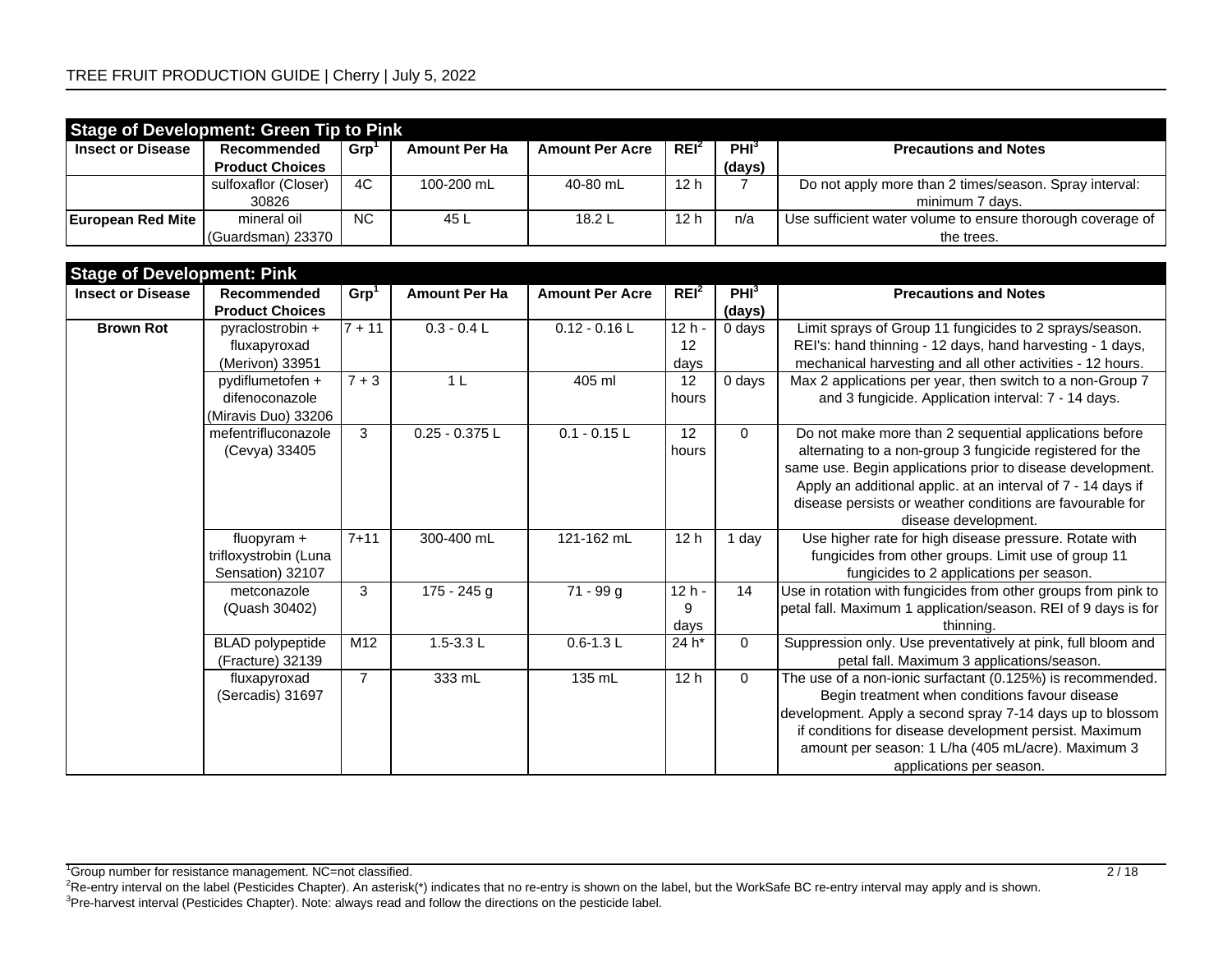|                          | <b>Stage of Development: Green Tip to Pink</b> |                |                      |                        |                  |                  |                                                            |  |  |  |  |  |
|--------------------------|------------------------------------------------|----------------|----------------------|------------------------|------------------|------------------|------------------------------------------------------------|--|--|--|--|--|
| <b>Insect or Disease</b> | Recommended                                    | <b>Grp</b>     | <b>Amount Per Ha</b> | <b>Amount Per Acre</b> | REI <sup>2</sup> | PHI <sup>3</sup> | <b>Precautions and Notes</b>                               |  |  |  |  |  |
|                          | <b>Product Choices</b>                         |                |                      |                        |                  | (days)           |                                                            |  |  |  |  |  |
|                          | sulfoxaflor (Closer)                           | 4C             | 100-200 mL           | 40-80 mL               | 12 h             |                  | Do not apply more than 2 times/season. Spray interval:     |  |  |  |  |  |
|                          | 30826                                          |                |                      |                        |                  |                  | minimum 7 days.                                            |  |  |  |  |  |
| <b>European Red Mite</b> | mineral oil                                    | N <sub>C</sub> | 45 L                 | 18.2L                  | 12 <sub>h</sub>  | n/a              | Use sufficient water volume to ensure thorough coverage of |  |  |  |  |  |
|                          | (Guardsman) 23370                              |                |                      |                        |                  |                  | the trees.                                                 |  |  |  |  |  |

| <b>Stage of Development: Pink</b> |                         |                  |                      |                        |                  |                  |                                                                |
|-----------------------------------|-------------------------|------------------|----------------------|------------------------|------------------|------------------|----------------------------------------------------------------|
| <b>Insect or Disease</b>          | Recommended             | Grp <sup>1</sup> | <b>Amount Per Ha</b> | <b>Amount Per Acre</b> | REI <sup>2</sup> | PHI <sup>3</sup> | <b>Precautions and Notes</b>                                   |
|                                   | <b>Product Choices</b>  |                  |                      |                        |                  | (days)           |                                                                |
| <b>Brown Rot</b>                  | pyraclostrobin +        | $\sqrt{7} + 11$  | $0.3 - 0.4 L$        | $0.12 - 0.16$          | $12h -$          | 0 days           | Limit sprays of Group 11 fungicides to 2 sprays/season.        |
|                                   | fluxapyroxad            |                  |                      |                        | 12               |                  | REI's: hand thinning - 12 days, hand harvesting - 1 days,      |
|                                   | (Merivon) 33951         |                  |                      |                        | days             |                  | mechanical harvesting and all other activities - 12 hours.     |
|                                   | pydiflumetofen +        | $7 + 3$          | 1 <sup>L</sup>       | 405 ml                 | 12               | 0 days           | Max 2 applications per year, then switch to a non-Group 7      |
|                                   | difenoconazole          |                  |                      |                        | hours            |                  | and 3 fungicide. Application interval: 7 - 14 days.            |
|                                   | (Miravis Duo) 33206     |                  |                      |                        |                  |                  |                                                                |
|                                   | mefentrifluconazole     | 3                | $0.25 - 0.375$ L     | $0.1 - 0.15$ L         | 12               | $\Omega$         | Do not make more than 2 sequential applications before         |
|                                   | (Cevya) 33405           |                  |                      |                        | hours            |                  | alternating to a non-group 3 fungicide registered for the      |
|                                   |                         |                  |                      |                        |                  |                  | same use. Begin applications prior to disease development.     |
|                                   |                         |                  |                      |                        |                  |                  | Apply an additional applic. at an interval of 7 - 14 days if   |
|                                   |                         |                  |                      |                        |                  |                  | disease persists or weather conditions are favourable for      |
|                                   |                         |                  |                      |                        |                  |                  | disease development.                                           |
|                                   | fluopyram $+$           | $7 + 11$         | 300-400 mL           | 121-162 mL             | 12 <sub>h</sub>  | 1 day            | Use higher rate for high disease pressure. Rotate with         |
|                                   | trifloxystrobin (Luna   |                  |                      |                        |                  |                  | fungicides from other groups. Limit use of group 11            |
|                                   | Sensation) 32107        |                  |                      |                        |                  |                  | fungicides to 2 applications per season.                       |
|                                   | metconazole             | 3                | $175 - 245$ g        | $71 - 99$ g            | $12h -$          | 14               | Use in rotation with fungicides from other groups from pink to |
|                                   | (Quash 30402)           |                  |                      |                        | 9                |                  | petal fall. Maximum 1 application/season. REI of 9 days is for |
|                                   |                         |                  |                      |                        | days             |                  | thinning.                                                      |
|                                   | <b>BLAD</b> polypeptide | M <sub>12</sub>  | $1.5 - 3.3 L$        | $0.6 - 1.3$ L          | 24 h*            | $\mathbf 0$      | Suppression only. Use preventatively at pink, full bloom and   |
|                                   | (Fracture) 32139        |                  |                      |                        |                  |                  | petal fall. Maximum 3 applications/season.                     |
|                                   | fluxapyroxad            | $\overline{7}$   | 333 mL               | 135 mL                 | 12h              | $\Omega$         | The use of a non-ionic surfactant (0.125%) is recommended.     |
|                                   | (Sercadis) 31697        |                  |                      |                        |                  |                  | Begin treatment when conditions favour disease                 |
|                                   |                         |                  |                      |                        |                  |                  | development. Apply a second spray 7-14 days up to blossom      |
|                                   |                         |                  |                      |                        |                  |                  | if conditions for disease development persist. Maximum         |
|                                   |                         |                  |                      |                        |                  |                  | amount per season: 1 L/ha (405 mL/acre). Maximum 3             |
|                                   |                         |                  |                      |                        |                  |                  | applications per season.                                       |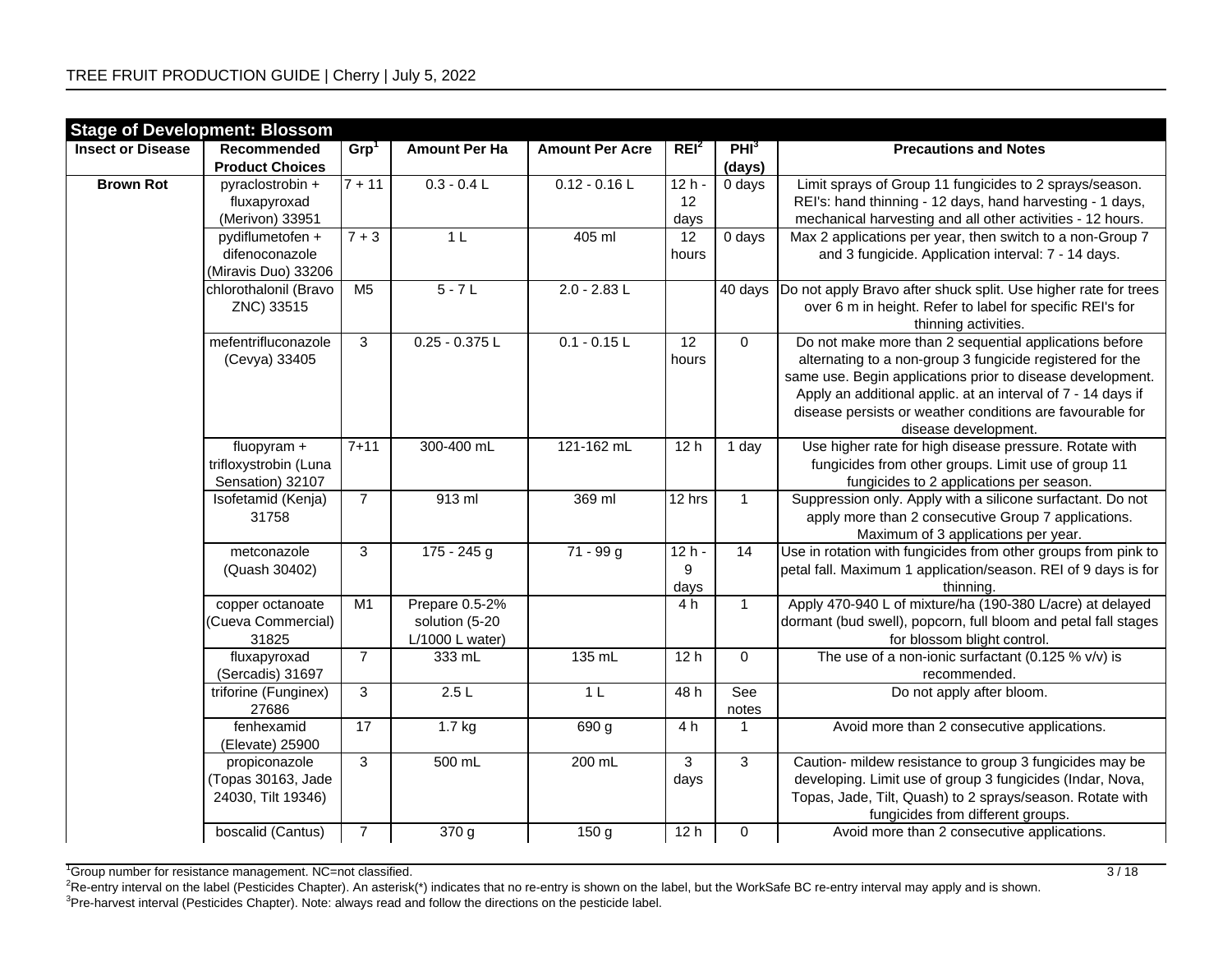|                          | <b>Stage of Development: Blossom</b> |                  |                      |                        |                  |                      |                                                                 |
|--------------------------|--------------------------------------|------------------|----------------------|------------------------|------------------|----------------------|-----------------------------------------------------------------|
| <b>Insect or Disease</b> | Recommended                          | Grp <sup>1</sup> | <b>Amount Per Ha</b> | <b>Amount Per Acre</b> | REI <sup>2</sup> | PHI <sup>3</sup>     | <b>Precautions and Notes</b>                                    |
|                          | <b>Product Choices</b>               |                  |                      |                        |                  | (days)               |                                                                 |
| <b>Brown Rot</b>         | pyraclostrobin +                     | $7 + 11$         | $0.3 - 0.4 L$        | $0.12 - 0.16$ L        | $12h -$          | 0 days               | Limit sprays of Group 11 fungicides to 2 sprays/season.         |
|                          | fluxapyroxad                         |                  |                      |                        | 12               |                      | REI's: hand thinning - 12 days, hand harvesting - 1 days,       |
|                          | (Merivon) 33951                      |                  |                      |                        | days             |                      | mechanical harvesting and all other activities - 12 hours.      |
|                          | pydiflumetofen +                     | $7 + 3$          | 1 <sub>L</sub>       | 405 ml                 | 12               | $\overline{0}$ days  | Max 2 applications per year, then switch to a non-Group 7       |
|                          | difenoconazole                       |                  |                      |                        | hours            |                      | and 3 fungicide. Application interval: 7 - 14 days.             |
|                          | (Miravis Duo) 33206                  |                  |                      |                        |                  |                      |                                                                 |
|                          | chlorothalonil (Bravo                | M <sub>5</sub>   | $5 - 7L$             | $2.0 - 2.83$ L         |                  | $\overline{40}$ days | Do not apply Bravo after shuck split. Use higher rate for trees |
|                          | ZNC) 33515                           |                  |                      |                        |                  |                      | over 6 m in height. Refer to label for specific REI's for       |
|                          |                                      |                  |                      |                        |                  |                      | thinning activities.                                            |
|                          | mefentrifluconazole                  | 3                | $0.25 - 0.375$ L     | $0.1 - 0.15$ L         | $\overline{12}$  | $\mathbf 0$          | Do not make more than 2 sequential applications before          |
|                          | (Cevya) 33405                        |                  |                      |                        | hours            |                      | alternating to a non-group 3 fungicide registered for the       |
|                          |                                      |                  |                      |                        |                  |                      | same use. Begin applications prior to disease development.      |
|                          |                                      |                  |                      |                        |                  |                      | Apply an additional applic. at an interval of 7 - 14 days if    |
|                          |                                      |                  |                      |                        |                  |                      | disease persists or weather conditions are favourable for       |
|                          |                                      |                  |                      |                        |                  |                      | disease development.                                            |
|                          | fluopyram +                          | $7 + 11$         | 300-400 mL           | 121-162 mL             | 12 <sub>h</sub>  | 1 day                | Use higher rate for high disease pressure. Rotate with          |
|                          | trifloxystrobin (Luna                |                  |                      |                        |                  |                      | fungicides from other groups. Limit use of group 11             |
|                          | Sensation) 32107                     |                  |                      |                        |                  |                      | fungicides to 2 applications per season.                        |
|                          | Isofetamid (Kenja)                   | $\overline{7}$   | $913$ ml             | 369 ml                 | 12 hrs           | $\mathbf{1}$         | Suppression only. Apply with a silicone surfactant. Do not      |
|                          | 31758                                |                  |                      |                        |                  |                      | apply more than 2 consecutive Group 7 applications.             |
|                          |                                      |                  |                      |                        |                  |                      | Maximum of 3 applications per year.                             |
|                          | metconazole                          | $\overline{3}$   | $175 - 245$ g        | $71 - 99$ g            | $12h -$          | 14                   | Use in rotation with fungicides from other groups from pink to  |
|                          | (Quash 30402)                        |                  |                      |                        | 9                |                      | petal fall. Maximum 1 application/season. REI of 9 days is for  |
|                          |                                      |                  |                      |                        | days             |                      | thinning.                                                       |
|                          | copper octanoate                     | M1               | Prepare 0.5-2%       |                        | 4 h              | $\mathbf{1}$         | Apply 470-940 L of mixture/ha (190-380 L/acre) at delayed       |
|                          | (Cueva Commercial)                   |                  | solution (5-20       |                        |                  |                      | dormant (bud swell), popcorn, full bloom and petal fall stages  |
|                          | 31825                                |                  | $L/1000$ L water)    |                        |                  |                      | for blossom blight control.                                     |
|                          | fluxapyroxad                         | $\overline{7}$   | 333 mL               | 135 mL                 | 12 <sub>h</sub>  | $\mathbf 0$          | The use of a non-ionic surfactant (0.125 % $v/v$ ) is           |
|                          | (Sercadis) 31697                     |                  |                      |                        |                  |                      | recommended.                                                    |
|                          | triforine (Funginex)                 | $\mathbf{3}$     | 2.5L                 | 1 <sub>L</sub>         | 48 h             | See                  | Do not apply after bloom.                                       |
|                          | 27686                                |                  |                      |                        |                  | notes                |                                                                 |
|                          | fenhexamid                           | 17               | $1.7$ kg             | 690 g                  | 4 h              | 1                    | Avoid more than 2 consecutive applications.                     |
|                          | (Elevate) 25900                      |                  |                      |                        |                  |                      |                                                                 |
|                          | propiconazole                        | 3                | 500 mL               | 200 mL                 | 3                | 3                    | Caution- mildew resistance to group 3 fungicides may be         |
|                          | (Topas 30163, Jade                   |                  |                      |                        | days             |                      | developing. Limit use of group 3 fungicides (Indar, Nova,       |
|                          | 24030, Tilt 19346)                   |                  |                      |                        |                  |                      | Topas, Jade, Tilt, Quash) to 2 sprays/season. Rotate with       |
|                          |                                      |                  |                      |                        |                  |                      | fungicides from different groups.                               |
|                          | boscalid (Cantus)                    | $\overline{7}$   | 370g                 | 150 g                  | 12h              | 0                    | Avoid more than 2 consecutive applications.                     |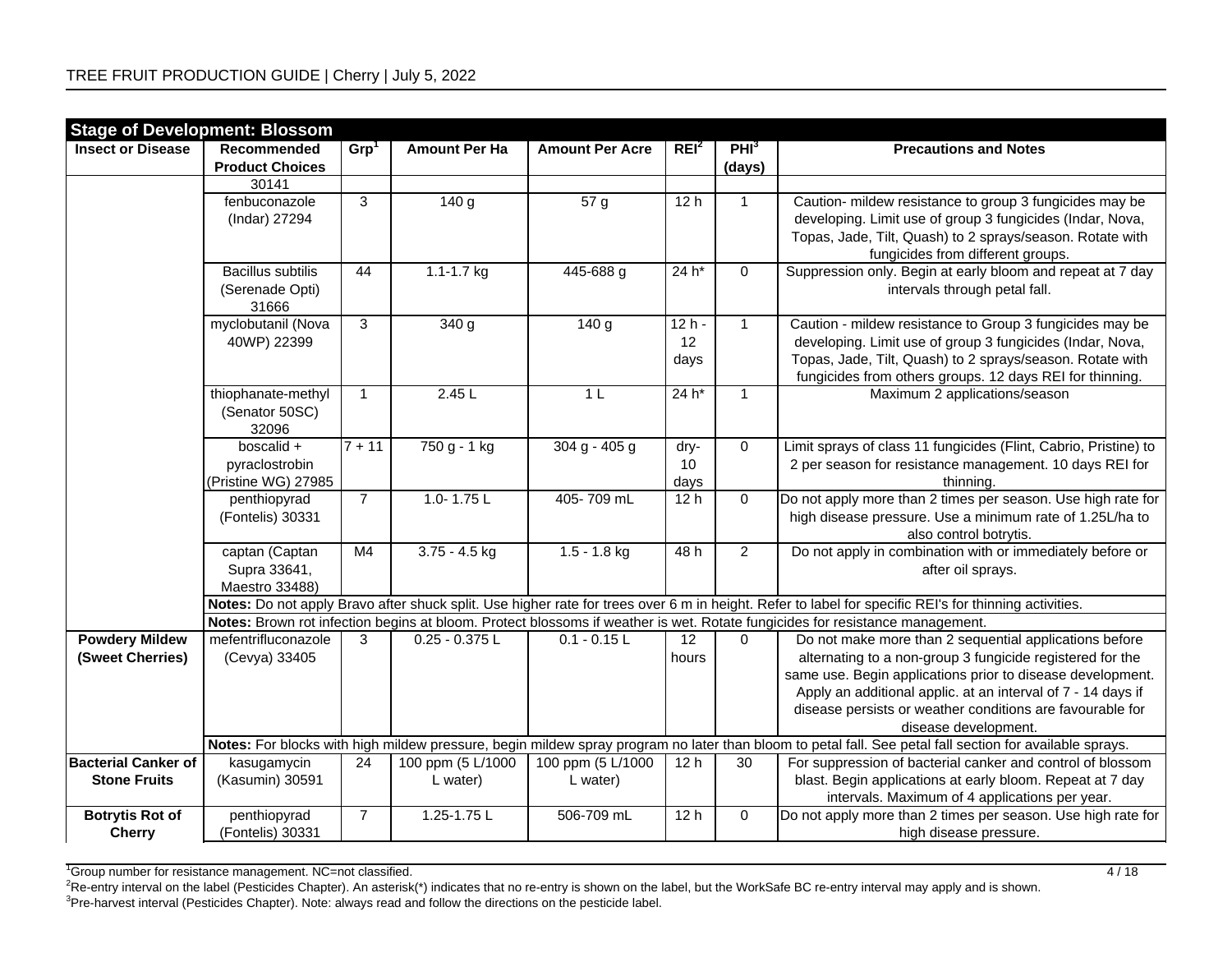| <b>Stage of Development: Blossom</b>              |                                                      |                     |                               |                               |                            |                            |                                                                                                                                                                                                                                                |
|---------------------------------------------------|------------------------------------------------------|---------------------|-------------------------------|-------------------------------|----------------------------|----------------------------|------------------------------------------------------------------------------------------------------------------------------------------------------------------------------------------------------------------------------------------------|
| <b>Insect or Disease</b>                          | Recommended<br><b>Product Choices</b>                | Grp <sup>1</sup>    | <b>Amount Per Ha</b>          | <b>Amount Per Acre</b>        | REI <sup>2</sup>           | PHI <sup>3</sup><br>(days) | <b>Precautions and Notes</b>                                                                                                                                                                                                                   |
|                                                   | 30141                                                |                     |                               |                               |                            |                            |                                                                                                                                                                                                                                                |
|                                                   | fenbuconazole<br>(Indar) 27294                       | $\overline{3}$      | 140 g                         | 57g                           | 12h                        | $\mathbf{1}$               | Caution- mildew resistance to group 3 fungicides may be<br>developing. Limit use of group 3 fungicides (Indar, Nova,<br>Topas, Jade, Tilt, Quash) to 2 sprays/season. Rotate with<br>fungicides from different groups.                         |
|                                                   | <b>Bacillus subtilis</b><br>(Serenade Opti)<br>31666 | 44                  | $1.1 - 1.7$ kg                | 445-688 g                     | $24 h*$                    | $\mathbf 0$                | Suppression only. Begin at early bloom and repeat at 7 day<br>intervals through petal fall.                                                                                                                                                    |
|                                                   | myclobutanil (Nova<br>40WP) 22399                    | $\overline{3}$      | 340 g                         | 140 g                         | $12h -$<br>12<br>days      | $\mathbf{1}$               | Caution - mildew resistance to Group 3 fungicides may be<br>developing. Limit use of group 3 fungicides (Indar, Nova,<br>Topas, Jade, Tilt, Quash) to 2 sprays/season. Rotate with<br>fungicides from others groups. 12 days REI for thinning. |
|                                                   | thiophanate-methyl<br>(Senator 50SC)<br>32096        | $\mathbf{1}$        | 2.45L                         | 1 <sub>L</sub>                | $24 h*$                    | $\mathbf{1}$               | Maximum 2 applications/season                                                                                                                                                                                                                  |
|                                                   | boscalid +<br>pyraclostrobin<br>(Pristine WG) 27985  | $\overline{7}$ + 11 | 750 g - 1 kg                  | $304 g - 405 g$               | dry-<br>10<br>days         | $\mathbf 0$                | Limit sprays of class 11 fungicides (Flint, Cabrio, Pristine) to<br>2 per season for resistance management. 10 days REI for<br>thinning.                                                                                                       |
|                                                   | penthiopyrad<br>(Fontelis) 30331                     | $\overline{7}$      | 1.0-1.75 $L$                  | 405-709 mL                    | 12h                        | $\mathbf 0$                | Do not apply more than 2 times per season. Use high rate for<br>high disease pressure. Use a minimum rate of 1.25L/ha to<br>also control botrytis.                                                                                             |
|                                                   | captan (Captan<br>Supra 33641,<br>Maestro 33488)     | M <sub>4</sub>      | $3.75 - 4.5$ kg               | $1.5 - 1.8$ kg                | 48h                        | $\overline{2}$             | Do not apply in combination with or immediately before or<br>after oil sprays.                                                                                                                                                                 |
|                                                   |                                                      |                     |                               |                               |                            |                            | Notes: Do not apply Bravo after shuck split. Use higher rate for trees over 6 m in height. Refer to label for specific REI's for thinning activities.                                                                                          |
|                                                   |                                                      |                     |                               |                               |                            |                            | Notes: Brown rot infection begins at bloom. Protect blossoms if weather is wet. Rotate fungicides for resistance management.                                                                                                                   |
| <b>Powdery Mildew</b><br>(Sweet Cherries)         | mefentrifluconazole<br>(Cevya) 33405                 | 3                   | $0.25 - 0.375$ L              | $0.1 - 0.15$ L                | $12 \overline{ }$<br>hours | 0                          | Do not make more than 2 sequential applications before<br>alternating to a non-group 3 fungicide registered for the<br>same use. Begin applications prior to disease development.                                                              |
|                                                   |                                                      |                     |                               |                               |                            |                            | Apply an additional applic. at an interval of 7 - 14 days if<br>disease persists or weather conditions are favourable for<br>disease development.                                                                                              |
|                                                   |                                                      |                     |                               |                               |                            |                            | Notes: For blocks with high mildew pressure, begin mildew spray program no later than bloom to petal fall. See petal fall section for available sprays.                                                                                        |
| <b>Bacterial Canker of</b><br><b>Stone Fruits</b> | kasugamycin<br>(Kasumin) 30591                       | 24                  | 100 ppm (5 L/1000<br>L water) | 100 ppm (5 L/1000<br>L water) | 12h                        | 30                         | For suppression of bacterial canker and control of blossom<br>blast. Begin applications at early bloom. Repeat at 7 day<br>intervals. Maximum of 4 applications per year.                                                                      |
| <b>Botrytis Rot of</b><br><b>Cherry</b>           | penthiopyrad<br>(Fontelis) 30331                     | $\overline{7}$      | 1.25-1.75L                    | 506-709 mL                    | 12h                        | $\mathbf 0$                | Do not apply more than 2 times per season. Use high rate for<br>high disease pressure.                                                                                                                                                         |

<sup>1</sup>Group number for resistance management. NC=not classified.  $4/18$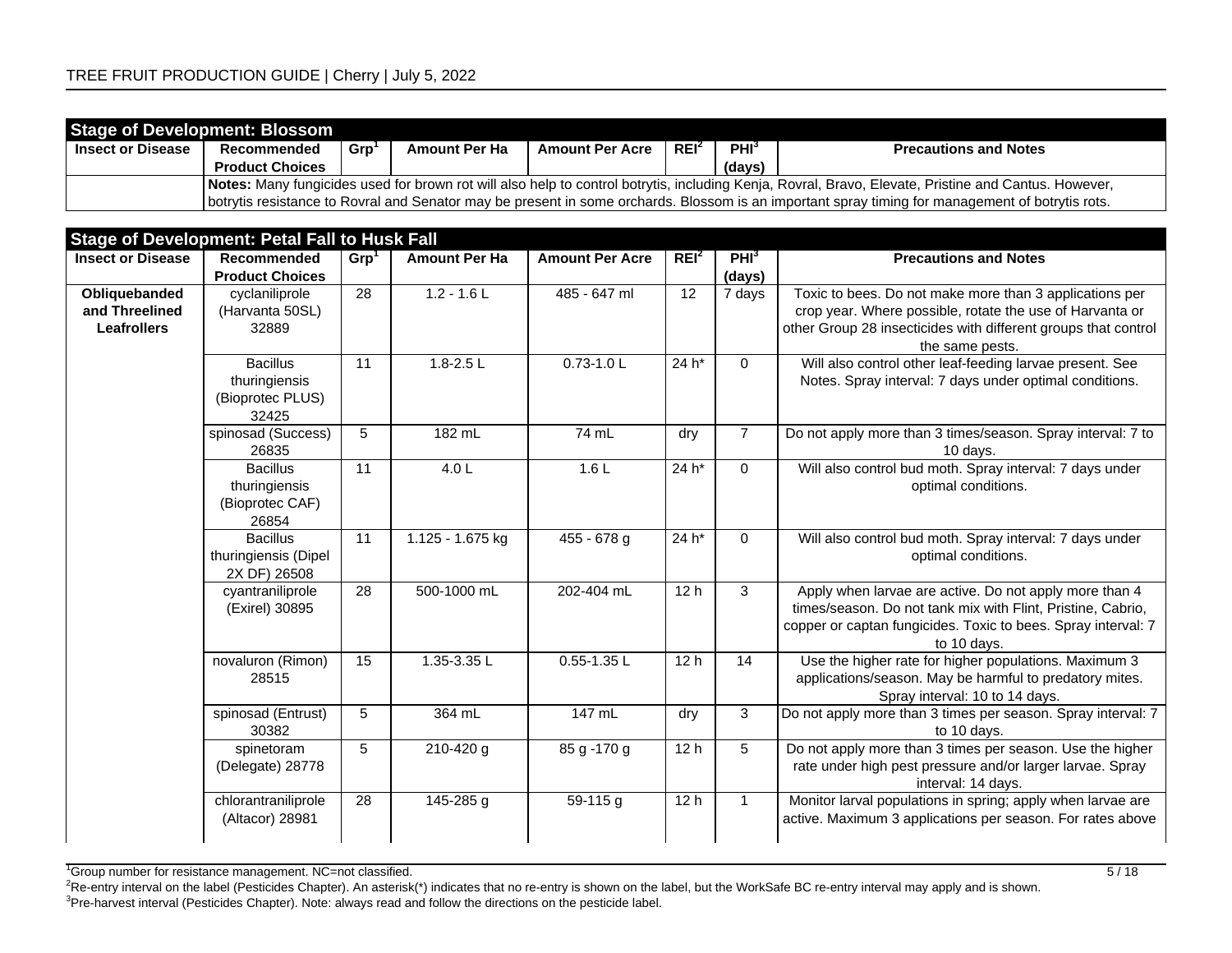| <b>Stage of Development: Blossom</b> |                                                                                                                                                      |     |                      |                        |         |                  |                                                                                                                                                  |  |  |  |  |
|--------------------------------------|------------------------------------------------------------------------------------------------------------------------------------------------------|-----|----------------------|------------------------|---------|------------------|--------------------------------------------------------------------------------------------------------------------------------------------------|--|--|--|--|
| <b>Insect or Disease</b>             | Recommended                                                                                                                                          | Grp | <b>Amount Per Ha</b> | <b>Amount Per Acre</b> | $REI^2$ | PHI <sup>3</sup> | <b>Precautions and Notes</b>                                                                                                                     |  |  |  |  |
|                                      | <b>Product Choices</b>                                                                                                                               |     |                      |                        |         | (days)           |                                                                                                                                                  |  |  |  |  |
|                                      | Notes: Many fungicides used for brown rot will also help to control botrytis, including Kenja, Rovral, Bravo, Elevate, Pristine and Cantus. However, |     |                      |                        |         |                  |                                                                                                                                                  |  |  |  |  |
|                                      |                                                                                                                                                      |     |                      |                        |         |                  | botrytis resistance to Rovral and Senator may be present in some orchards. Blossom is an important spray timing for management of botrytis rots. |  |  |  |  |

|                                                       | <b>Stage of Development: Petal Fall to Husk Fall</b>          |                  |                      |                        |                  |                            |                                                                                                                                                                                                          |
|-------------------------------------------------------|---------------------------------------------------------------|------------------|----------------------|------------------------|------------------|----------------------------|----------------------------------------------------------------------------------------------------------------------------------------------------------------------------------------------------------|
| <b>Insect or Disease</b>                              | Recommended<br><b>Product Choices</b>                         | Grp <sup>1</sup> | <b>Amount Per Ha</b> | <b>Amount Per Acre</b> | REI <sup>2</sup> | PHI <sup>3</sup><br>(days) | <b>Precautions and Notes</b>                                                                                                                                                                             |
| Obliquebanded<br>and Threelined<br><b>Leafrollers</b> | cyclaniliprole<br>(Harvanta 50SL)<br>32889                    | 28               | $1.2 - 1.6$ L        | 485 - 647 ml           | 12               | 7 days                     | Toxic to bees. Do not make more than 3 applications per<br>crop year. Where possible, rotate the use of Harvanta or<br>other Group 28 insecticides with different groups that control<br>the same pests. |
|                                                       | <b>Bacillus</b><br>thuringiensis<br>(Bioprotec PLUS)<br>32425 | 11               | $1.8 - 2.5$ L        | $0.73 - 1.0$ L         | 24 h*            | $\mathbf 0$                | Will also control other leaf-feeding larvae present. See<br>Notes. Spray interval: 7 days under optimal conditions.                                                                                      |
|                                                       | spinosad (Success)<br>26835                                   | 5                | 182 mL               | 74 mL                  | dry              | $\overline{7}$             | Do not apply more than 3 times/season. Spray interval: 7 to<br>10 days.                                                                                                                                  |
|                                                       | <b>Bacillus</b><br>thuringiensis<br>(Bioprotec CAF)<br>26854  | 11               | 4.0 L                | 1.6L                   | $24 h*$          | $\mathbf 0$                | Will also control bud moth. Spray interval: 7 days under<br>optimal conditions.                                                                                                                          |
|                                                       | <b>Bacillus</b><br>thuringiensis (Dipel<br>2X DF) 26508       | 11               | 1.125 - 1.675 kg     | $455 - 678$ g          | $24 h*$          | $\mathbf 0$                | Will also control bud moth. Spray interval: 7 days under<br>optimal conditions.                                                                                                                          |
|                                                       | cyantraniliprole<br>(Exirel) 30895                            | 28               | 500-1000 mL          | 202-404 mL             | 12 <sub>h</sub>  | 3                          | Apply when larvae are active. Do not apply more than 4<br>times/season. Do not tank mix with Flint, Pristine, Cabrio,<br>copper or captan fungicides. Toxic to bees. Spray interval: 7<br>to 10 days.    |
|                                                       | novaluron (Rimon)<br>28515                                    | 15               | 1.35-3.35 L          | $0.55 - 1.35$ L        | 12 <sub>h</sub>  | 14                         | Use the higher rate for higher populations. Maximum 3<br>applications/season. May be harmful to predatory mites.<br>Spray interval: 10 to 14 days.                                                       |
|                                                       | spinosad (Entrust)<br>30382                                   | 5                | 364 mL               | $147$ mL               | dry              | 3                          | Do not apply more than 3 times per season. Spray interval: 7<br>to 10 days.                                                                                                                              |
|                                                       | spinetoram<br>(Delegate) 28778                                | 5                | 210-420 g            | $85 g - 170 g$         | 12 <sub>h</sub>  | 5                          | Do not apply more than 3 times per season. Use the higher<br>rate under high pest pressure and/or larger larvae. Spray<br>interval: 14 days.                                                             |
|                                                       | chlorantraniliprole<br>(Altacor) 28981                        | 28               | 145-285 g            | $59-115$ g             | 12h              | $\mathbf{1}$               | Monitor larval populations in spring; apply when larvae are<br>active. Maximum 3 applications per season. For rates above                                                                                |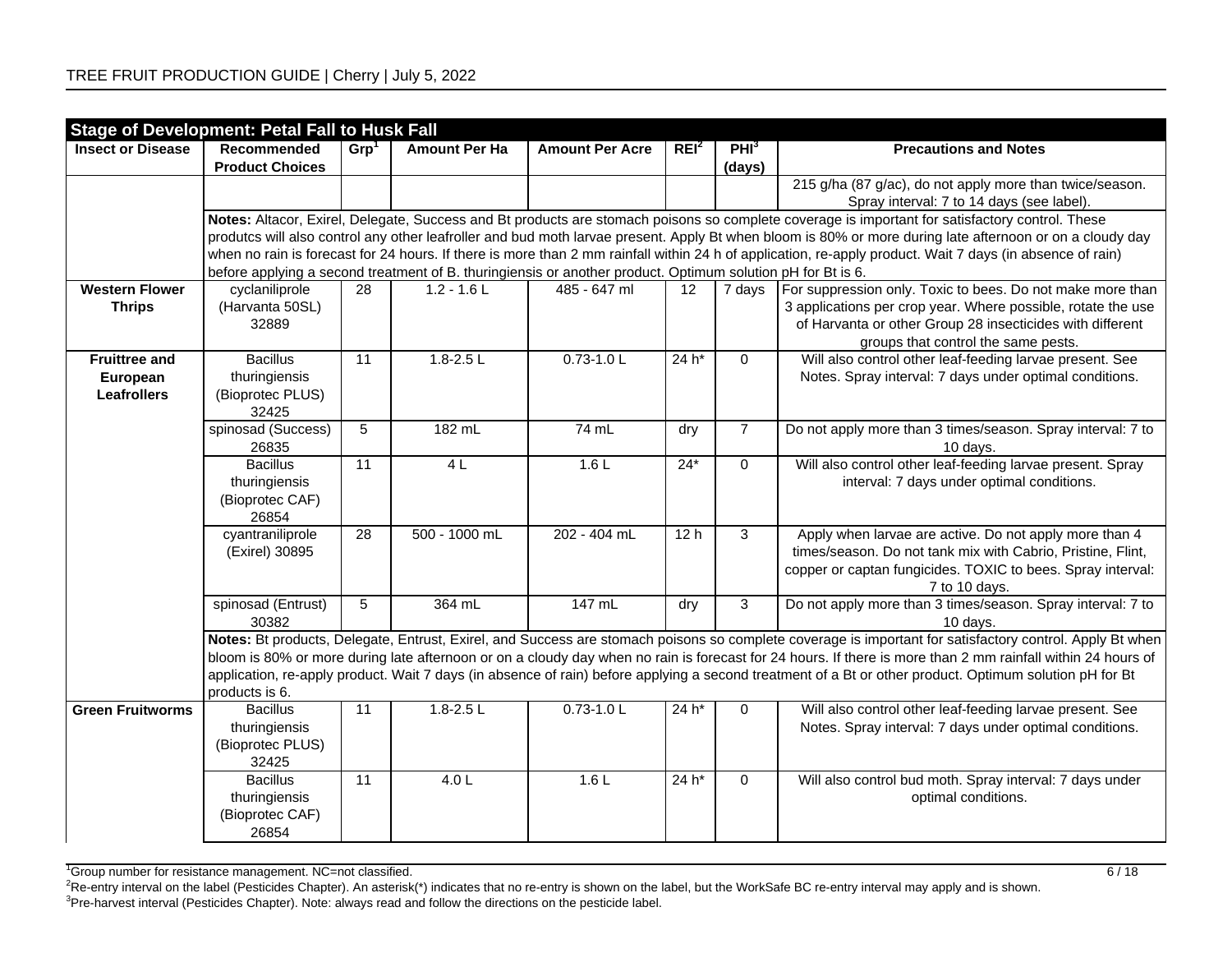|                          | <b>Stage of Development: Petal Fall to Husk Fall</b>         |                  |                                                                                                             |                        |                  |                            |                                                                                                                                                                                                                                                                                                                                                                                                                                                                                    |
|--------------------------|--------------------------------------------------------------|------------------|-------------------------------------------------------------------------------------------------------------|------------------------|------------------|----------------------------|------------------------------------------------------------------------------------------------------------------------------------------------------------------------------------------------------------------------------------------------------------------------------------------------------------------------------------------------------------------------------------------------------------------------------------------------------------------------------------|
| <b>Insect or Disease</b> | Recommended<br><b>Product Choices</b>                        | Grp <sup>1</sup> | <b>Amount Per Ha</b>                                                                                        | <b>Amount Per Acre</b> | REI <sup>2</sup> | PHI <sup>3</sup><br>(days) | <b>Precautions and Notes</b>                                                                                                                                                                                                                                                                                                                                                                                                                                                       |
|                          |                                                              |                  |                                                                                                             |                        |                  |                            | 215 g/ha (87 g/ac), do not apply more than twice/season.<br>Spray interval: 7 to 14 days (see label).                                                                                                                                                                                                                                                                                                                                                                              |
|                          |                                                              |                  |                                                                                                             |                        |                  |                            | Notes: Altacor, Exirel, Delegate, Success and Bt products are stomach poisons so complete coverage is important for satisfactory control. These                                                                                                                                                                                                                                                                                                                                    |
|                          |                                                              |                  |                                                                                                             |                        |                  |                            | produtcs will also control any other leafroller and bud moth larvae present. Apply Bt when bloom is 80% or more during late afternoon or on a cloudy day                                                                                                                                                                                                                                                                                                                           |
|                          |                                                              |                  | before applying a second treatment of B. thuringiensis or another product. Optimum solution pH for Bt is 6. |                        |                  |                            | when no rain is forecast for 24 hours. If there is more than 2 mm rainfall within 24 h of application, re-apply product. Wait 7 days (in absence of rain)                                                                                                                                                                                                                                                                                                                          |
| <b>Western Flower</b>    | cyclaniliprole                                               | 28               | $1.2 - 1.6$ L                                                                                               | 485 - 647 ml           | 12               | 7 days                     | For suppression only. Toxic to bees. Do not make more than                                                                                                                                                                                                                                                                                                                                                                                                                         |
| <b>Thrips</b>            | (Harvanta 50SL)<br>32889                                     |                  |                                                                                                             |                        |                  |                            | 3 applications per crop year. Where possible, rotate the use<br>of Harvanta or other Group 28 insecticides with different<br>groups that control the same pests.                                                                                                                                                                                                                                                                                                                   |
| <b>Fruittree and</b>     | <b>Bacillus</b>                                              | 11               | $1.8 - 2.5$ L                                                                                               | $0.73 - 1.0$ L         | $24 h*$          | $\mathbf 0$                | Will also control other leaf-feeding larvae present. See                                                                                                                                                                                                                                                                                                                                                                                                                           |
| European                 | thuringiensis                                                |                  |                                                                                                             |                        |                  |                            | Notes. Spray interval: 7 days under optimal conditions.                                                                                                                                                                                                                                                                                                                                                                                                                            |
| <b>Leafrollers</b>       | (Bioprotec PLUS)                                             |                  |                                                                                                             |                        |                  |                            |                                                                                                                                                                                                                                                                                                                                                                                                                                                                                    |
|                          | 32425                                                        |                  |                                                                                                             |                        |                  |                            |                                                                                                                                                                                                                                                                                                                                                                                                                                                                                    |
|                          | spinosad (Success)<br>26835                                  | $\overline{5}$   | 182 mL                                                                                                      | 74 mL                  | dry              | $\overline{7}$             | Do not apply more than 3 times/season. Spray interval: 7 to<br>10 days.                                                                                                                                                                                                                                                                                                                                                                                                            |
|                          | <b>Bacillus</b><br>thuringiensis<br>(Bioprotec CAF)<br>26854 | 11               | 4L                                                                                                          | 1.6L                   | $24*$            | $\mathbf 0$                | Will also control other leaf-feeding larvae present. Spray<br>interval: 7 days under optimal conditions.                                                                                                                                                                                                                                                                                                                                                                           |
|                          | cyantraniliprole<br>(Exirel) 30895                           | 28               | 500 - 1000 mL                                                                                               | 202 - 404 mL           | 12h              | $\overline{3}$             | Apply when larvae are active. Do not apply more than 4<br>times/season. Do not tank mix with Cabrio, Pristine, Flint,<br>copper or captan fungicides. TOXIC to bees. Spray interval:<br>7 to 10 days.                                                                                                                                                                                                                                                                              |
|                          | spinosad (Entrust)<br>30382                                  | $5\phantom{.0}$  | 364 mL                                                                                                      | 147 mL                 | dry              | 3                          | Do not apply more than 3 times/season. Spray interval: 7 to<br>10 days.                                                                                                                                                                                                                                                                                                                                                                                                            |
|                          | products is 6.                                               |                  |                                                                                                             |                        |                  |                            | Notes: Bt products, Delegate, Entrust, Exirel, and Success are stomach poisons so complete coverage is important for satisfactory control. Apply Bt when<br>bloom is 80% or more during late afternoon or on a cloudy day when no rain is forecast for 24 hours. If there is more than 2 mm rainfall within 24 hours of<br>application, re-apply product. Wait 7 days (in absence of rain) before applying a second treatment of a Bt or other product. Optimum solution pH for Bt |
| <b>Green Fruitworms</b>  | <b>Bacillus</b>                                              | 11               | $1.8 - 2.5$ L                                                                                               | $0.73 - 1.0$ L         | 24 h*            | 0                          | Will also control other leaf-feeding larvae present. See                                                                                                                                                                                                                                                                                                                                                                                                                           |
|                          | thuringiensis<br>(Bioprotec PLUS)<br>32425                   |                  |                                                                                                             |                        |                  |                            | Notes. Spray interval: 7 days under optimal conditions.                                                                                                                                                                                                                                                                                                                                                                                                                            |
|                          | <b>Bacillus</b><br>thuringiensis<br>(Bioprotec CAF)<br>26854 | $\overline{11}$  | 4.0 L                                                                                                       | 1.6L                   | $24 h*$          | $\mathbf 0$                | Will also control bud moth. Spray interval: 7 days under<br>optimal conditions.                                                                                                                                                                                                                                                                                                                                                                                                    |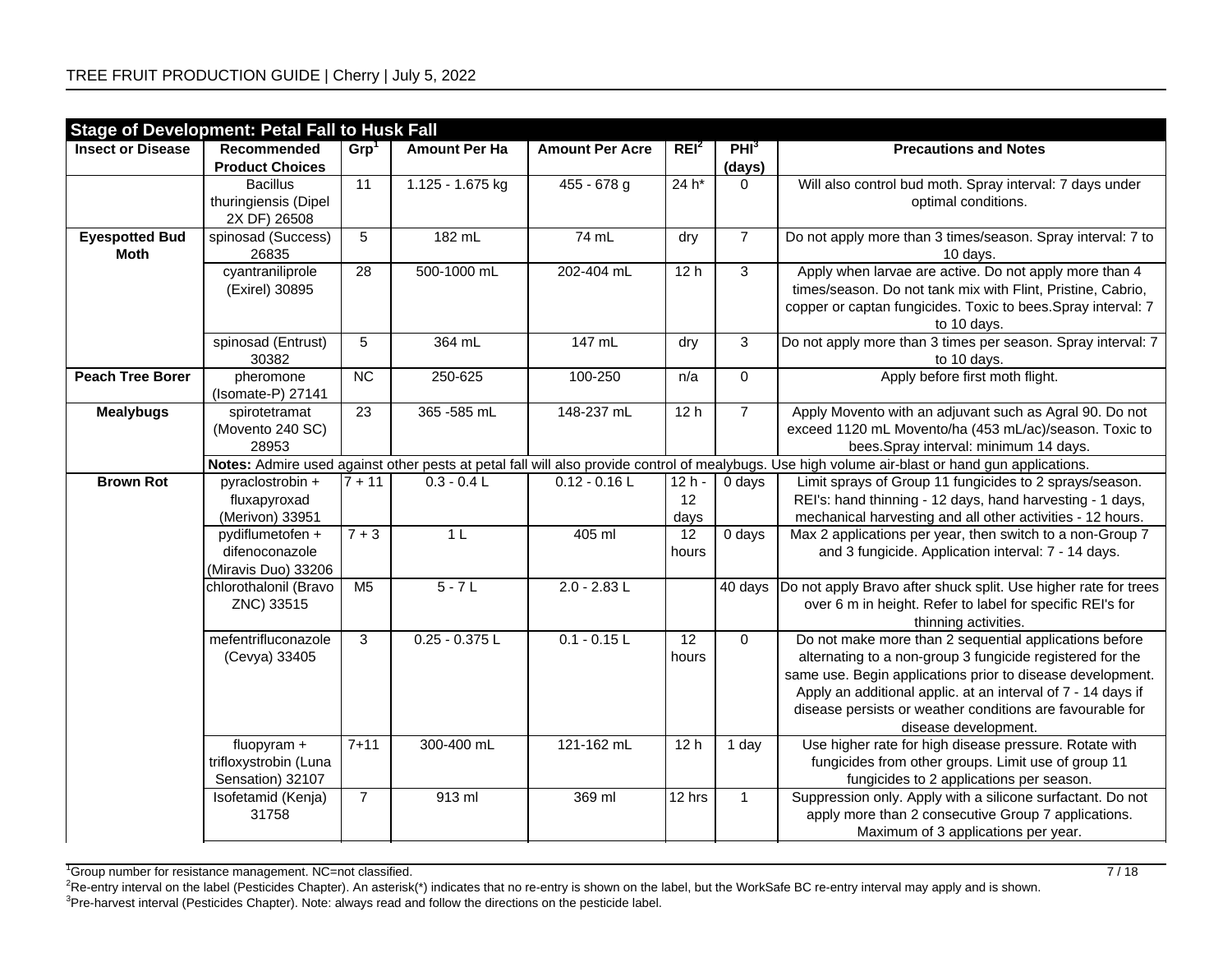|                                      | <b>Stage of Development: Petal Fall to Husk Fall</b>      |                  |                      |                        |                       |                            |                                                                                                                                                                                                                                                                                                                                        |
|--------------------------------------|-----------------------------------------------------------|------------------|----------------------|------------------------|-----------------------|----------------------------|----------------------------------------------------------------------------------------------------------------------------------------------------------------------------------------------------------------------------------------------------------------------------------------------------------------------------------------|
| <b>Insect or Disease</b>             | Recommended<br><b>Product Choices</b>                     | Grp <sup>1</sup> | <b>Amount Per Ha</b> | <b>Amount Per Acre</b> | REI <sup>2</sup>      | PHI <sup>3</sup><br>(days) | <b>Precautions and Notes</b>                                                                                                                                                                                                                                                                                                           |
|                                      | <b>Bacillus</b><br>thuringiensis (Dipel<br>2X DF) 26508   | $\overline{11}$  | 1.125 - 1.675 kg     | $455 - 678$ g          | 24 h*                 | $\Omega$                   | Will also control bud moth. Spray interval: 7 days under<br>optimal conditions.                                                                                                                                                                                                                                                        |
| <b>Eyespotted Bud</b><br><b>Moth</b> | spinosad (Success)<br>26835                               | 5                | 182 mL               | 74 mL                  | dry                   | $\overline{7}$             | Do not apply more than 3 times/season. Spray interval: 7 to<br>10 days.                                                                                                                                                                                                                                                                |
|                                      | cyantraniliprole<br>(Exirel) 30895                        | 28               | 500-1000 mL          | 202-404 mL             | 12h                   | $\overline{3}$             | Apply when larvae are active. Do not apply more than 4<br>times/season. Do not tank mix with Flint, Pristine, Cabrio,<br>copper or captan fungicides. Toxic to bees. Spray interval: 7<br>to 10 days.                                                                                                                                  |
|                                      | spinosad (Entrust)<br>30382                               | 5                | 364 mL               | 147 mL                 | dry                   | $\overline{3}$             | Do not apply more than 3 times per season. Spray interval: 7<br>to 10 days.                                                                                                                                                                                                                                                            |
| <b>Peach Tree Borer</b>              | pheromone<br>(Isomate-P) 27141                            | $\overline{NC}$  | 250-625              | 100-250                | n/a                   | $\overline{0}$             | Apply before first moth flight.                                                                                                                                                                                                                                                                                                        |
| <b>Mealybugs</b>                     | spirotetramat<br>(Movento 240 SC)<br>28953                | $\overline{23}$  | 365 - 585 mL         | 148-237 mL             | 12h                   | $\overline{7}$             | Apply Movento with an adjuvant such as Agral 90. Do not<br>exceed 1120 mL Movento/ha (453 mL/ac)/season. Toxic to<br>bees.Spray interval: minimum 14 days.                                                                                                                                                                             |
|                                      |                                                           |                  |                      |                        |                       |                            | Notes: Admire used against other pests at petal fall will also provide control of mealybugs. Use high volume air-blast or hand gun applications.                                                                                                                                                                                       |
| <b>Brown Rot</b>                     | pyraclostrobin +<br>fluxapyroxad<br>(Merivon) 33951       | $7 + 11$         | $0.3 - 0.4 L$        | $0.12 - 0.16$ L        | $12h -$<br>12<br>days | 0 days                     | Limit sprays of Group 11 fungicides to 2 sprays/season.<br>REI's: hand thinning - 12 days, hand harvesting - 1 days,<br>mechanical harvesting and all other activities - 12 hours.                                                                                                                                                     |
|                                      | pydiflumetofen +<br>difenoconazole<br>(Miravis Duo) 33206 | $7 + 3$          | 1 <sub>L</sub>       | 405 ml                 | 12<br>hours           | $\overline{0}$ days        | Max 2 applications per year, then switch to a non-Group 7<br>and 3 fungicide. Application interval: 7 - 14 days.                                                                                                                                                                                                                       |
|                                      | chlorothalonil (Bravo<br>ZNC) 33515                       | M <sub>5</sub>   | $5 - 7L$             | $2.0 - 2.83$ L         |                       | 40 days                    | Do not apply Bravo after shuck split. Use higher rate for trees<br>over 6 m in height. Refer to label for specific REI's for<br>thinning activities.                                                                                                                                                                                   |
|                                      | mefentrifluconazole<br>(Cevya) 33405                      | 3                | $0.25 - 0.375$ L     | $0.1 - 0.15$ L         | 12<br>hours           | $\Omega$                   | Do not make more than 2 sequential applications before<br>alternating to a non-group 3 fungicide registered for the<br>same use. Begin applications prior to disease development.<br>Apply an additional applic. at an interval of 7 - 14 days if<br>disease persists or weather conditions are favourable for<br>disease development. |
|                                      | fluopyram +<br>trifloxystrobin (Luna<br>Sensation) 32107  | $7 + 11$         | 300-400 mL           | 121-162 mL             | 12 <sub>h</sub>       | 1 day                      | Use higher rate for high disease pressure. Rotate with<br>fungicides from other groups. Limit use of group 11<br>fungicides to 2 applications per season.                                                                                                                                                                              |
|                                      | Isofetamid (Kenja)<br>31758                               | $\overline{7}$   | 913 ml               | 369 ml                 | $\sqrt{12}$ hrs       | $\mathbf{1}$               | Suppression only. Apply with a silicone surfactant. Do not<br>apply more than 2 consecutive Group 7 applications.<br>Maximum of 3 applications per year.                                                                                                                                                                               |

<sup>1</sup>Group number for resistance management. NC=not classified.  $7/18$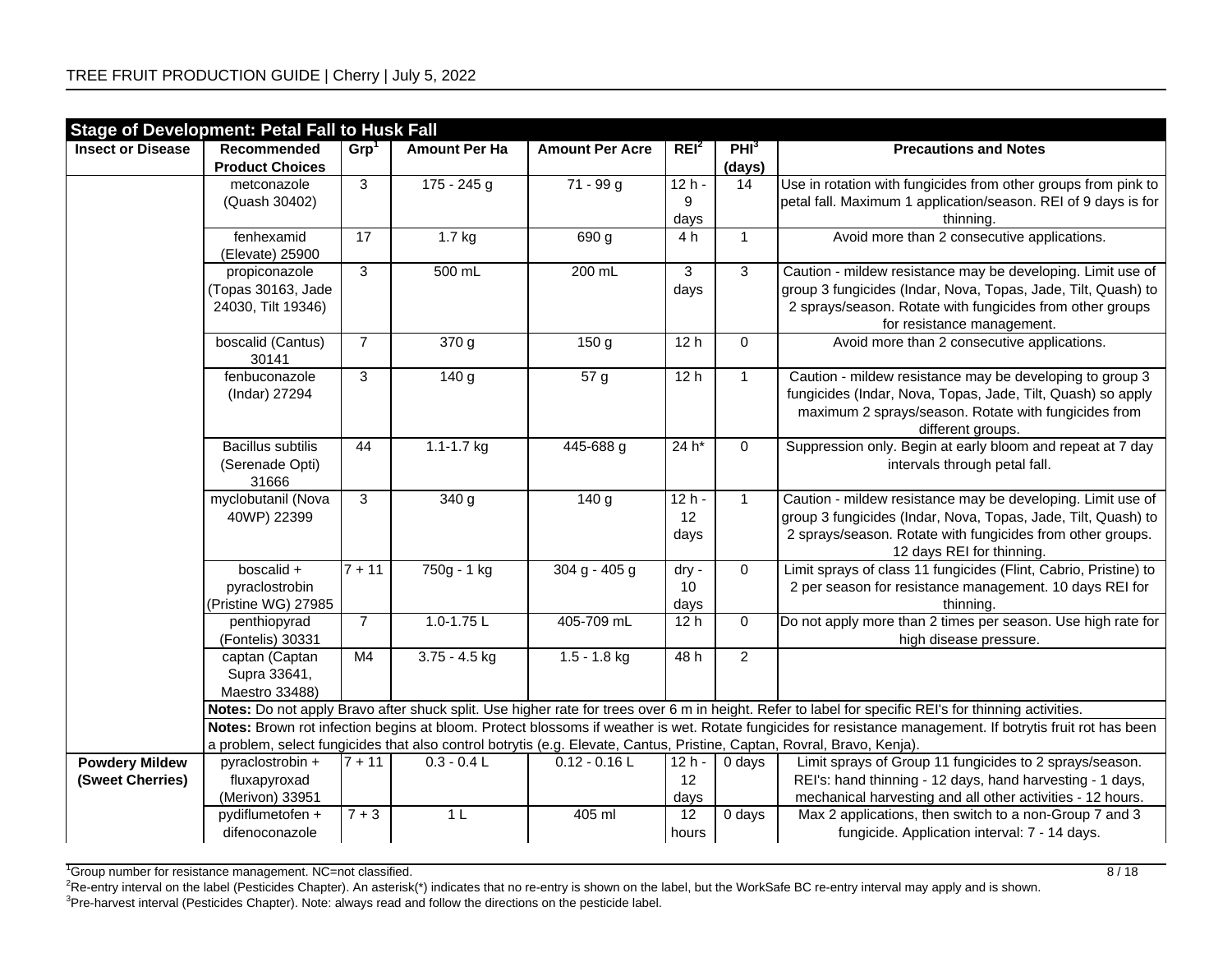|                          | <b>Stage of Development: Petal Fall to Husk Fall</b> |                     |                      |                        |                    |                     |                                                                                                                                                                                    |
|--------------------------|------------------------------------------------------|---------------------|----------------------|------------------------|--------------------|---------------------|------------------------------------------------------------------------------------------------------------------------------------------------------------------------------------|
| <b>Insect or Disease</b> | Recommended                                          | Grp <sup>1</sup>    | <b>Amount Per Ha</b> | <b>Amount Per Acre</b> | REI <sup>2</sup>   | PHI <sub>3</sub>    | <b>Precautions and Notes</b>                                                                                                                                                       |
|                          | <b>Product Choices</b>                               |                     |                      |                        |                    | (days)              |                                                                                                                                                                                    |
|                          | metconazole                                          | 3                   | $175 - 245$ g        | $71 - 99g$             | $\overline{12h}$ - | 14                  | Use in rotation with fungicides from other groups from pink to                                                                                                                     |
|                          | (Quash 30402)                                        |                     |                      |                        | 9                  |                     | petal fall. Maximum 1 application/season. REI of 9 days is for                                                                                                                     |
|                          |                                                      |                     |                      |                        | days               |                     | thinning.                                                                                                                                                                          |
|                          | fenhexamid                                           | 17                  | $1.7$ kg             | 690 g                  | 4 h                | $\mathbf{1}$        | Avoid more than 2 consecutive applications.                                                                                                                                        |
|                          | (Elevate) 25900                                      |                     |                      |                        |                    |                     |                                                                                                                                                                                    |
|                          | propiconazole                                        | 3                   | 500 mL               | 200 mL                 | 3                  | 3                   | Caution - mildew resistance may be developing. Limit use of                                                                                                                        |
|                          | (Topas 30163, Jade                                   |                     |                      |                        | days               |                     | group 3 fungicides (Indar, Nova, Topas, Jade, Tilt, Quash) to                                                                                                                      |
|                          | 24030, Tilt 19346)                                   |                     |                      |                        |                    |                     | 2 sprays/season. Rotate with fungicides from other groups                                                                                                                          |
|                          |                                                      |                     |                      |                        |                    |                     | for resistance management.                                                                                                                                                         |
|                          | boscalid (Cantus)                                    | $\overline{7}$      | $\overline{370}$ g   | 150 g                  | 12h                | $\mathsf{O}\xspace$ | Avoid more than 2 consecutive applications.                                                                                                                                        |
|                          | 30141                                                |                     |                      |                        |                    |                     |                                                                                                                                                                                    |
|                          | fenbuconazole                                        | 3                   | 140 g                | 57g                    | 12h                | $\mathbf{1}$        | Caution - mildew resistance may be developing to group 3                                                                                                                           |
|                          | (Indar) 27294                                        |                     |                      |                        |                    |                     | fungicides (Indar, Nova, Topas, Jade, Tilt, Quash) so apply                                                                                                                        |
|                          |                                                      |                     |                      |                        |                    |                     | maximum 2 sprays/season. Rotate with fungicides from<br>different groups.                                                                                                          |
|                          | <b>Bacillus subtilis</b>                             | 44                  | $1.1 - 1.7$ kg       | 445-688 g              | 24 h*              | $\mathbf 0$         | Suppression only. Begin at early bloom and repeat at 7 day                                                                                                                         |
|                          | (Serenade Opti)                                      |                     |                      |                        |                    |                     | intervals through petal fall.                                                                                                                                                      |
|                          | 31666                                                |                     |                      |                        |                    |                     |                                                                                                                                                                                    |
|                          | myclobutanil (Nova                                   | 3                   | 340 g                | 140 g                  | $12h -$            | $\mathbf{1}$        | Caution - mildew resistance may be developing. Limit use of                                                                                                                        |
|                          | 40WP) 22399                                          |                     |                      |                        | 12                 |                     | group 3 fungicides (Indar, Nova, Topas, Jade, Tilt, Quash) to                                                                                                                      |
|                          |                                                      |                     |                      |                        | days               |                     | 2 sprays/season. Rotate with fungicides from other groups.                                                                                                                         |
|                          |                                                      |                     |                      |                        |                    |                     | 12 days REI for thinning.                                                                                                                                                          |
|                          | boscalid +                                           | $\frac{1}{7+11}$    | 750g - 1 kg          | $304 g - 405 g$        | dry -              | $\mathbf 0$         | Limit sprays of class 11 fungicides (Flint, Cabrio, Pristine) to                                                                                                                   |
|                          | pyraclostrobin                                       |                     |                      |                        | 10                 |                     | 2 per season for resistance management. 10 days REI for                                                                                                                            |
|                          | (Pristine WG) 27985                                  |                     |                      |                        | days               |                     | thinning.                                                                                                                                                                          |
|                          | penthiopyrad                                         | $\overline{7}$      | $1.0 - 1.75$ L       | 405-709 mL             | 12 <sub>h</sub>    | $\mathbf 0$         | Do not apply more than 2 times per season. Use high rate for                                                                                                                       |
|                          | (Fontelis) 30331                                     |                     |                      |                        |                    |                     | high disease pressure.                                                                                                                                                             |
|                          | captan (Captan                                       | M4                  | $3.75 - 4.5$ kg      | $1.5 - 1.8$ kg         | 48h                | $\overline{a}$      |                                                                                                                                                                                    |
|                          | Supra 33641,                                         |                     |                      |                        |                    |                     |                                                                                                                                                                                    |
|                          | Maestro 33488)                                       |                     |                      |                        |                    |                     |                                                                                                                                                                                    |
|                          |                                                      |                     |                      |                        |                    |                     | Notes: Do not apply Bravo after shuck split. Use higher rate for trees over 6 m in height. Refer to label for specific REI's for thinning activities.                              |
|                          |                                                      |                     |                      |                        |                    |                     | Notes: Brown rot infection begins at bloom. Protect blossoms if weather is wet. Rotate fungicides for resistance management. If botrytis fruit rot has been                        |
| <b>Powdery Mildew</b>    |                                                      | $\overline{7} + 11$ | $0.3 - 0.4 L$        | $0.12 - 0.16$ L        |                    |                     | a problem, select fungicides that also control botrytis (e.g. Elevate, Cantus, Pristine, Captan, Rovral, Bravo, Kenja).<br>Limit sprays of Group 11 fungicides to 2 sprays/season. |
|                          | pyraclostrobin +                                     |                     |                      |                        | $12h -$            | 0 days              |                                                                                                                                                                                    |
| (Sweet Cherries)         | fluxapyroxad<br>(Merivon) 33951                      |                     |                      |                        | 12                 |                     | REI's: hand thinning - 12 days, hand harvesting - 1 days,<br>mechanical harvesting and all other activities - 12 hours.                                                            |
|                          | pydiflumetofen +                                     | $7 + 3$             | 1 <sub>L</sub>       | 405 ml                 | days<br>12         | 0 days              | Max 2 applications, then switch to a non-Group 7 and 3                                                                                                                             |
|                          | difenoconazole                                       |                     |                      |                        |                    |                     | fungicide. Application interval: 7 - 14 days.                                                                                                                                      |
|                          |                                                      |                     |                      |                        | hours              |                     |                                                                                                                                                                                    |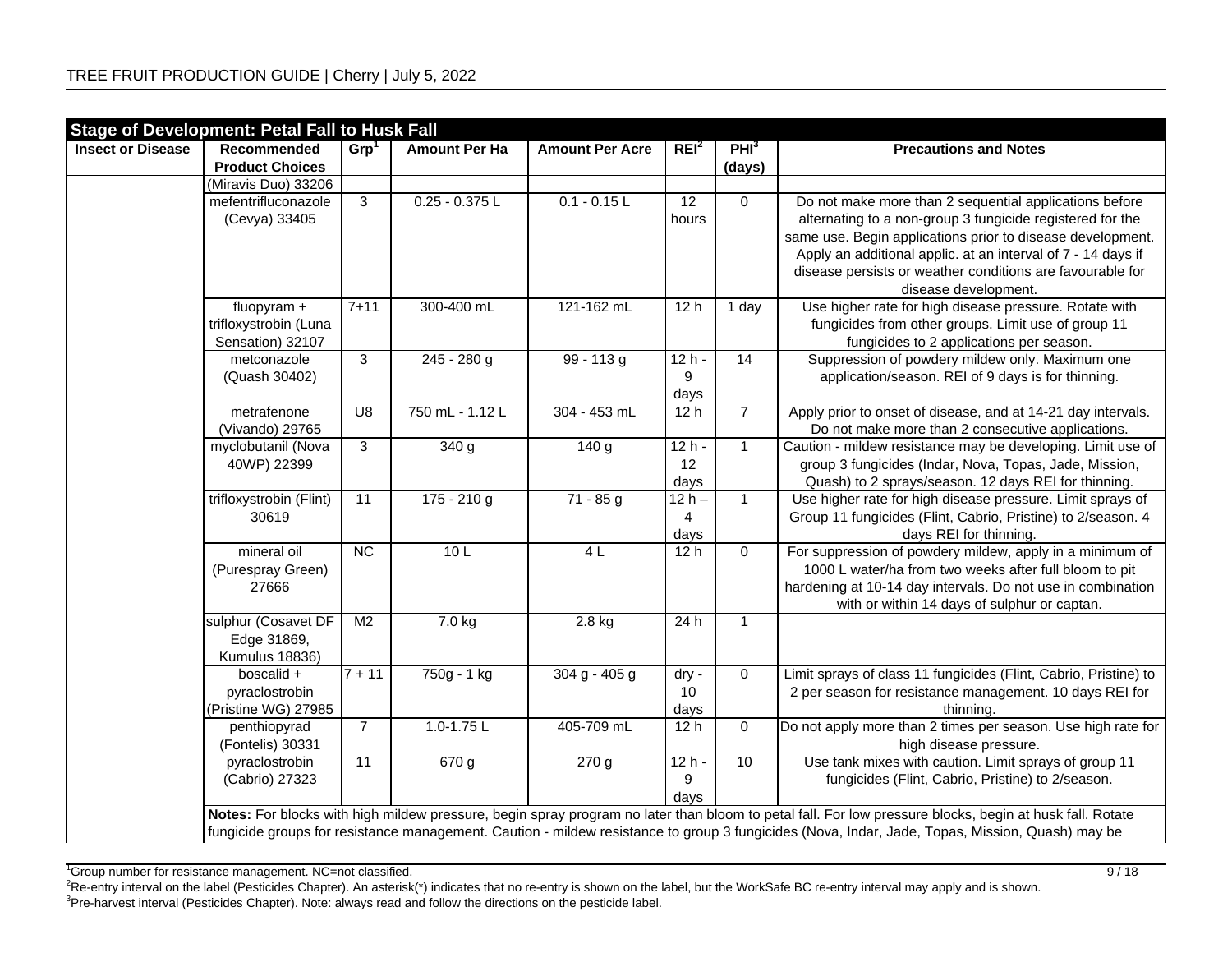| <b>Insect or Disease</b> | Recommended                                                | Grp <sup>1</sup> | <b>Amount Per Ha</b> | <b>Amount Per Acre</b> | REI <sup>2</sup>         | PHI <sup>3</sup> | <b>Precautions and Notes</b>                                                                                                                                                                                                                                                                                                           |
|--------------------------|------------------------------------------------------------|------------------|----------------------|------------------------|--------------------------|------------------|----------------------------------------------------------------------------------------------------------------------------------------------------------------------------------------------------------------------------------------------------------------------------------------------------------------------------------------|
|                          | <b>Product Choices</b>                                     |                  |                      |                        |                          | (days)           |                                                                                                                                                                                                                                                                                                                                        |
|                          | (Miravis Duo) 33206                                        |                  |                      |                        |                          |                  |                                                                                                                                                                                                                                                                                                                                        |
|                          | mefentrifluconazole<br>(Cevya) 33405                       | $\overline{3}$   | $0.25 - 0.375$ L     | $0.1 - 0.15$ L         | $\overline{12}$<br>hours | $\mathbf 0$      | Do not make more than 2 sequential applications before<br>alternating to a non-group 3 fungicide registered for the<br>same use. Begin applications prior to disease development.<br>Apply an additional applic. at an interval of 7 - 14 days if<br>disease persists or weather conditions are favourable for<br>disease development. |
|                          | fluopyram $+$<br>trifloxystrobin (Luna<br>Sensation) 32107 | $7 + 11$         | 300-400 mL           | 121-162 mL             | 12 <sub>h</sub>          | 1 day            | Use higher rate for high disease pressure. Rotate with<br>fungicides from other groups. Limit use of group 11<br>fungicides to 2 applications per season.                                                                                                                                                                              |
|                          | metconazole<br>(Quash 30402)                               | $\mathbf{3}$     | $245 - 280$ g        | $99 - 113g$            | $12h -$<br>9<br>days     | $\overline{14}$  | Suppression of powdery mildew only. Maximum one<br>application/season. REI of 9 days is for thinning.                                                                                                                                                                                                                                  |
|                          | metrafenone<br>(Vivando) 29765                             | U8               | 750 mL - 1.12 L      | 304 - 453 mL           | 12h                      | $\overline{7}$   | Apply prior to onset of disease, and at 14-21 day intervals.<br>Do not make more than 2 consecutive applications.                                                                                                                                                                                                                      |
|                          | myclobutanil (Nova<br>40WP) 22399                          | 3                | 340 g                | 140 g                  | $12h -$<br>12<br>days    | $\mathbf{1}$     | Caution - mildew resistance may be developing. Limit use of<br>group 3 fungicides (Indar, Nova, Topas, Jade, Mission,<br>Quash) to 2 sprays/season. 12 days REI for thinning.                                                                                                                                                          |
|                          | trifloxystrobin (Flint)<br>30619                           | $\overline{11}$  | $175 - 210$ g        | $71 - 85 g$            | $12h -$<br>4<br>days     | $\mathbf{1}$     | Use higher rate for high disease pressure. Limit sprays of<br>Group 11 fungicides (Flint, Cabrio, Pristine) to 2/season. 4<br>days REI for thinning.                                                                                                                                                                                   |
|                          | mineral oil<br>(Purespray Green)<br>27666                  | NC               | 10L                  | 4L                     | 12h                      | $\overline{0}$   | For suppression of powdery mildew, apply in a minimum of<br>1000 L water/ha from two weeks after full bloom to pit<br>hardening at 10-14 day intervals. Do not use in combination<br>with or within 14 days of sulphur or captan.                                                                                                      |
|                          | sulphur (Cosavet DF<br>Edge 31869,<br>Kumulus 18836)       | M <sub>2</sub>   | $\overline{7}$ .0 kg | 2.8 kg                 | 24 h                     | $\mathbf{1}$     |                                                                                                                                                                                                                                                                                                                                        |
|                          | boscalid +<br>pyraclostrobin<br>(Pristine WG) 27985        | $7 + 11$         | 750g - 1 kg          | $304 g - 405 g$        | dry -<br>10<br>days      | 0                | Limit sprays of class 11 fungicides (Flint, Cabrio, Pristine) to<br>2 per season for resistance management. 10 days REI for<br>thinning.                                                                                                                                                                                               |
|                          | penthiopyrad<br>(Fontelis) 30331                           | $\overline{7}$   | $1.0 - 1.75$ L       | 405-709 mL             | 12 <sub>h</sub>          | $\mathbf 0$      | Do not apply more than 2 times per season. Use high rate for<br>high disease pressure.                                                                                                                                                                                                                                                 |
|                          | pyraclostrobin<br>(Cabrio) 27323                           | $\overline{11}$  | $\overline{670}$ g   | $\overline{270}$ g     | $12h -$<br>9<br>days     | 10               | Use tank mixes with caution. Limit sprays of group 11<br>fungicides (Flint, Cabrio, Pristine) to 2/season.                                                                                                                                                                                                                             |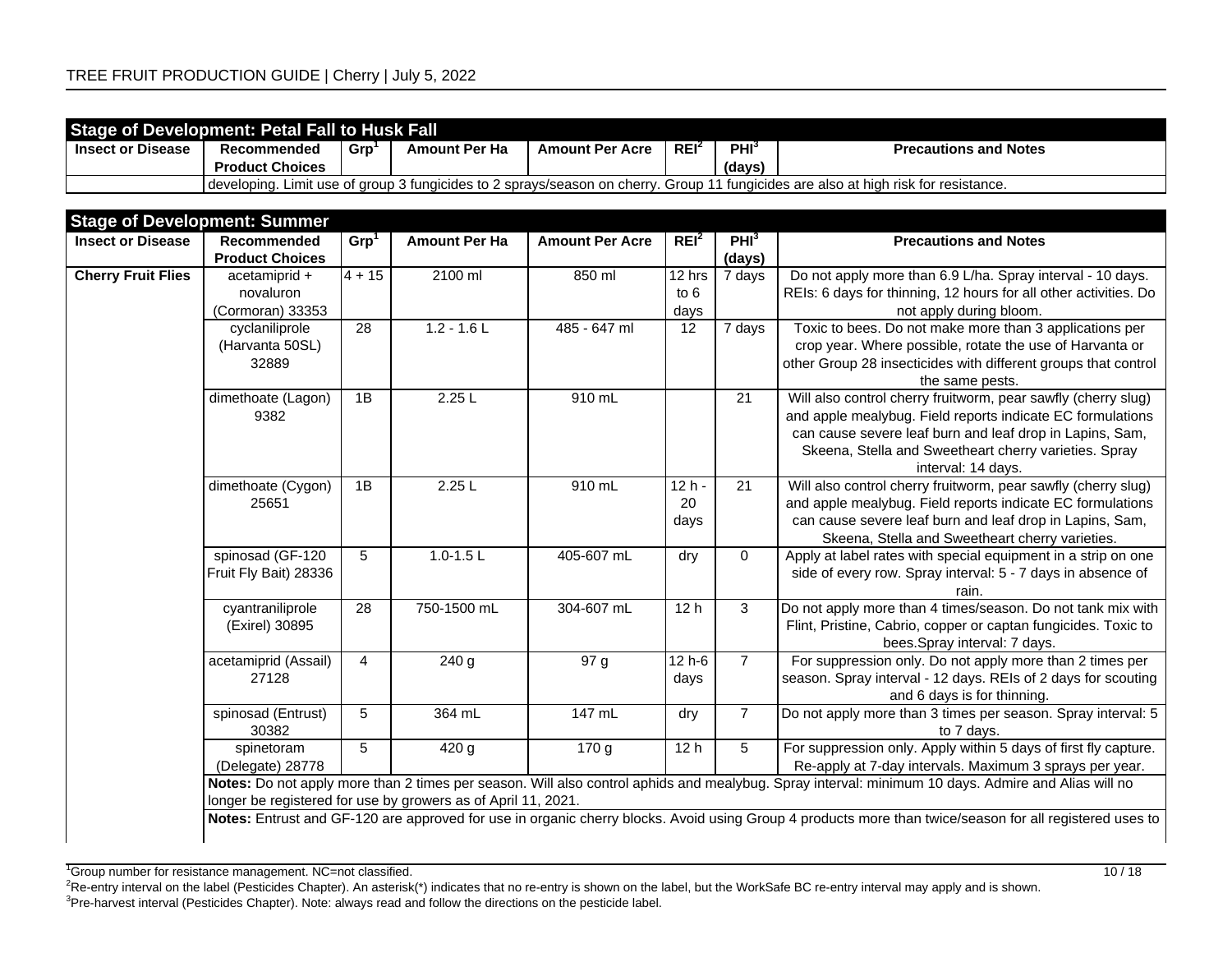| <b>Stage of Development: Petal Fall to Husk Fall</b>                                                                                  |                        |     |                      |                        |                    |                  |                              |  |  |  |
|---------------------------------------------------------------------------------------------------------------------------------------|------------------------|-----|----------------------|------------------------|--------------------|------------------|------------------------------|--|--|--|
| <b>Insect or Disease</b>                                                                                                              | Recommended            | Grp | <b>Amount Per Ha</b> | <b>Amount Per Acre</b> | . REI <sup>2</sup> | PHI <sup>3</sup> | <b>Precautions and Notes</b> |  |  |  |
|                                                                                                                                       | <b>Product Choices</b> |     |                      |                        |                    | (days)           |                              |  |  |  |
| I developing. Limit use of group 3 fungicides to 2 sprays/season on cherry. Group 11 fungicides are also at high risk for resistance. |                        |     |                      |                        |                    |                  |                              |  |  |  |

| <b>Insect or Disease</b>  | Recommended<br><b>Product Choices</b> | Grp <sup>1</sup> | <b>Amount Per Ha</b>                                          | <b>Amount Per Acre</b> | REI <sup>2</sup> | PHI <sup>3</sup><br>(days) | <b>Precautions and Notes</b>                                                                                                                            |
|---------------------------|---------------------------------------|------------------|---------------------------------------------------------------|------------------------|------------------|----------------------------|---------------------------------------------------------------------------------------------------------------------------------------------------------|
| <b>Cherry Fruit Flies</b> | acetamiprid +                         | $4 + 15$         | 2100 ml                                                       | 850 ml                 | 12 hrs           | 7 days                     | Do not apply more than 6.9 L/ha. Spray interval - 10 days.                                                                                              |
|                           | novaluron                             |                  |                                                               |                        | to 6             |                            | REIs: 6 days for thinning, 12 hours for all other activities. Do                                                                                        |
|                           | (Cormoran) 33353                      |                  |                                                               |                        | days             |                            | not apply during bloom.                                                                                                                                 |
|                           | cyclaniliprole                        | 28               | $1.2 - 1.6$                                                   | 485 - 647 ml           | 12               | 7 days                     | Toxic to bees. Do not make more than 3 applications per                                                                                                 |
|                           | (Harvanta 50SL)                       |                  |                                                               |                        |                  |                            | crop year. Where possible, rotate the use of Harvanta or                                                                                                |
|                           | 32889                                 |                  |                                                               |                        |                  |                            | other Group 28 insecticides with different groups that control                                                                                          |
|                           |                                       |                  |                                                               |                        |                  |                            | the same pests.                                                                                                                                         |
|                           | dimethoate (Lagon)                    | 1B               | 2.25L                                                         | 910 mL                 |                  | $\overline{21}$            | Will also control cherry fruitworm, pear sawfly (cherry slug)                                                                                           |
|                           | 9382                                  |                  |                                                               |                        |                  |                            | and apple mealybug. Field reports indicate EC formulations                                                                                              |
|                           |                                       |                  |                                                               |                        |                  |                            | can cause severe leaf burn and leaf drop in Lapins, Sam,                                                                                                |
|                           |                                       |                  |                                                               |                        |                  |                            | Skeena, Stella and Sweetheart cherry varieties. Spray                                                                                                   |
|                           |                                       |                  |                                                               |                        |                  |                            | interval: 14 days.                                                                                                                                      |
|                           | dimethoate (Cygon)                    | 1B               | 2.25L                                                         | 910 mL                 | $12h -$          | 21                         | Will also control cherry fruitworm, pear sawfly (cherry slug)                                                                                           |
|                           | 25651                                 |                  |                                                               |                        | 20               |                            | and apple mealybug. Field reports indicate EC formulations<br>can cause severe leaf burn and leaf drop in Lapins, Sam,                                  |
|                           |                                       |                  |                                                               |                        | days             |                            | Skeena, Stella and Sweetheart cherry varieties.                                                                                                         |
|                           | spinosad (GF-120                      | 5                | $1.0 - 1.5 L$                                                 | 405-607 mL             | dry              | $\mathbf 0$                | Apply at label rates with special equipment in a strip on one                                                                                           |
|                           | Fruit Fly Bait) 28336                 |                  |                                                               |                        |                  |                            | side of every row. Spray interval: 5 - 7 days in absence of                                                                                             |
|                           |                                       |                  |                                                               |                        |                  |                            | rain.                                                                                                                                                   |
|                           | cyantraniliprole                      | $\overline{28}$  | 750-1500 mL                                                   | 304-607 mL             | 12h              | $\overline{3}$             | Do not apply more than 4 times/season. Do not tank mix with                                                                                             |
|                           | (Exirel) 30895                        |                  |                                                               |                        |                  |                            | Flint, Pristine, Cabrio, copper or captan fungicides. Toxic to                                                                                          |
|                           |                                       |                  |                                                               |                        |                  |                            | bees.Spray interval: 7 days.                                                                                                                            |
|                           | acetamiprid (Assail)                  | $\overline{4}$   | 240 g                                                         | 97 g                   | $12h-6$          | $\overline{7}$             | For suppression only. Do not apply more than 2 times per                                                                                                |
|                           | 27128                                 |                  |                                                               |                        | days             |                            | season. Spray interval - 12 days. REIs of 2 days for scouting                                                                                           |
|                           |                                       |                  |                                                               |                        |                  |                            | and 6 days is for thinning.                                                                                                                             |
|                           | spinosad (Entrust)                    | 5                | 364 mL                                                        | 147 mL                 | dry              | $\overline{7}$             | Do not apply more than 3 times per season. Spray interval: 5                                                                                            |
|                           | 30382                                 |                  |                                                               |                        |                  |                            | to 7 days.                                                                                                                                              |
|                           | spinetoram                            | 5                | 420 g                                                         | 170 <sub>g</sub>       | 12 <sub>h</sub>  | $\sqrt{5}$                 | For suppression only. Apply within 5 days of first fly capture.                                                                                         |
|                           | (Delegate) 28778                      |                  |                                                               |                        |                  |                            | Re-apply at 7-day intervals. Maximum 3 sprays per year.                                                                                                 |
|                           |                                       |                  |                                                               |                        |                  |                            | Notes: Do not apply more than 2 times per season. Will also control aphids and mealybug. Spray interval: minimum 10 days. Admire and Alias will no      |
|                           |                                       |                  | longer be registered for use by growers as of April 11, 2021. |                        |                  |                            |                                                                                                                                                         |
|                           |                                       |                  |                                                               |                        |                  |                            | Notes: Entrust and GF-120 are approved for use in organic cherry blocks. Avoid using Group 4 products more than twice/season for all registered uses to |
|                           |                                       |                  |                                                               |                        |                  |                            |                                                                                                                                                         |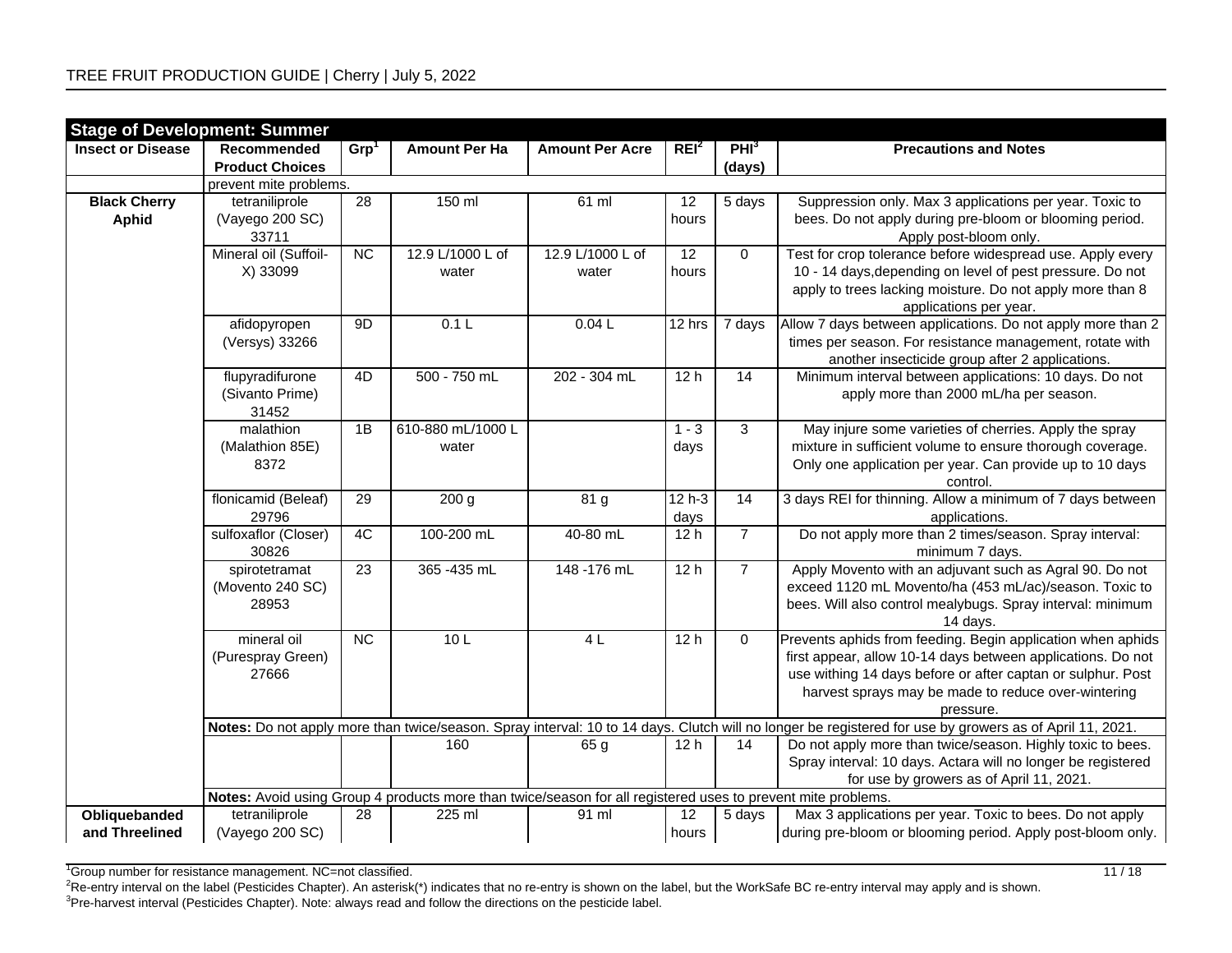| <b>Stage of Development: Summer</b> |                           |                  |                                                                                                              |                        |                  |                  |                                                                                                                                                         |
|-------------------------------------|---------------------------|------------------|--------------------------------------------------------------------------------------------------------------|------------------------|------------------|------------------|---------------------------------------------------------------------------------------------------------------------------------------------------------|
| <b>Insect or Disease</b>            | Recommended               | Grp <sup>1</sup> | <b>Amount Per Ha</b>                                                                                         | <b>Amount Per Acre</b> | REI <sup>2</sup> | PHI <sup>3</sup> | <b>Precautions and Notes</b>                                                                                                                            |
|                                     | <b>Product Choices</b>    |                  |                                                                                                              |                        |                  | (days)           |                                                                                                                                                         |
|                                     | prevent mite problems.    |                  |                                                                                                              |                        |                  |                  |                                                                                                                                                         |
| <b>Black Cherry</b>                 | tetraniliprole            | $\overline{28}$  | 150 ml                                                                                                       | $61$ ml                | $\overline{12}$  | 5 days           | Suppression only. Max 3 applications per year. Toxic to                                                                                                 |
| <b>Aphid</b>                        | (Vayego 200 SC)           |                  |                                                                                                              |                        | hours            |                  | bees. Do not apply during pre-bloom or blooming period.                                                                                                 |
|                                     | 33711                     |                  |                                                                                                              |                        |                  |                  | Apply post-bloom only.                                                                                                                                  |
|                                     | Mineral oil (Suffoil-     | <b>NC</b>        | 12.9 L/1000 L of                                                                                             | 12.9 L/1000 L of       | 12               | $\mathbf 0$      | Test for crop tolerance before widespread use. Apply every                                                                                              |
|                                     | X) 33099                  |                  | water                                                                                                        | water                  | hours            |                  | 10 - 14 days, depending on level of pest pressure. Do not                                                                                               |
|                                     |                           |                  |                                                                                                              |                        |                  |                  | apply to trees lacking moisture. Do not apply more than 8                                                                                               |
|                                     |                           |                  |                                                                                                              |                        |                  |                  | applications per year.                                                                                                                                  |
|                                     | afidopyropen              | 9D               | 0.1L                                                                                                         | 0.04L                  | 12 hrs           | 7 days           | Allow 7 days between applications. Do not apply more than 2                                                                                             |
|                                     | (Versys) 33266            |                  |                                                                                                              |                        |                  |                  | times per season. For resistance management, rotate with                                                                                                |
|                                     |                           |                  |                                                                                                              |                        |                  |                  | another insecticide group after 2 applications.                                                                                                         |
|                                     | flupyradifurone           | 4D               | 500 - 750 mL                                                                                                 | 202 - 304 mL           | 12h              | 14               | Minimum interval between applications: 10 days. Do not                                                                                                  |
|                                     | (Sivanto Prime)           |                  |                                                                                                              |                        |                  |                  | apply more than 2000 mL/ha per season.                                                                                                                  |
|                                     | 31452                     |                  |                                                                                                              |                        |                  |                  |                                                                                                                                                         |
|                                     | malathion                 | 1B               | 610-880 mL/1000 L                                                                                            |                        | $1 - 3$          | 3                | May injure some varieties of cherries. Apply the spray                                                                                                  |
|                                     | (Malathion 85E)           |                  | water                                                                                                        |                        | days             |                  | mixture in sufficient volume to ensure thorough coverage.                                                                                               |
|                                     | 8372                      |                  |                                                                                                              |                        |                  |                  | Only one application per year. Can provide up to 10 days                                                                                                |
|                                     |                           |                  |                                                                                                              |                        |                  |                  | control.                                                                                                                                                |
|                                     | flonicamid (Beleaf)       | 29               | 200 g                                                                                                        | 81 <sub>g</sub>        | 12 h-3           | 14               | 3 days REI for thinning. Allow a minimum of 7 days between                                                                                              |
|                                     | 29796                     |                  |                                                                                                              | 40-80 mL               | days             |                  | applications.                                                                                                                                           |
|                                     | sulfoxaflor (Closer)      | 4C               | 100-200 mL                                                                                                   |                        | 12h              | $\overline{7}$   | Do not apply more than 2 times/season. Spray interval:                                                                                                  |
|                                     | 30826                     | $\overline{23}$  | 365 - 435 mL                                                                                                 | 148 - 176 mL           | 12h              | $\overline{7}$   | minimum 7 days.<br>Apply Movento with an adjuvant such as Agral 90. Do not                                                                              |
|                                     | spirotetramat             |                  |                                                                                                              |                        |                  |                  | exceed 1120 mL Movento/ha (453 mL/ac)/season. Toxic to                                                                                                  |
|                                     | (Movento 240 SC)<br>28953 |                  |                                                                                                              |                        |                  |                  | bees. Will also control mealybugs. Spray interval: minimum                                                                                              |
|                                     |                           |                  |                                                                                                              |                        |                  |                  | 14 days.                                                                                                                                                |
|                                     | mineral oil               | $\overline{NC}$  | 10 <sub>L</sub>                                                                                              | 4L                     | 12h              | $\mathbf 0$      | Prevents aphids from feeding. Begin application when aphids                                                                                             |
|                                     | (Purespray Green)         |                  |                                                                                                              |                        |                  |                  | first appear, allow 10-14 days between applications. Do not                                                                                             |
|                                     | 27666                     |                  |                                                                                                              |                        |                  |                  | use withing 14 days before or after captan or sulphur. Post                                                                                             |
|                                     |                           |                  |                                                                                                              |                        |                  |                  | harvest sprays may be made to reduce over-wintering                                                                                                     |
|                                     |                           |                  |                                                                                                              |                        |                  |                  | pressure.                                                                                                                                               |
|                                     |                           |                  |                                                                                                              |                        |                  |                  | Notes: Do not apply more than twice/season. Spray interval: 10 to 14 days. Clutch will no longer be registered for use by growers as of April 11, 2021. |
|                                     |                           |                  | 160                                                                                                          | 65 g                   | 12 <sub>h</sub>  | 14               | Do not apply more than twice/season. Highly toxic to bees.                                                                                              |
|                                     |                           |                  |                                                                                                              |                        |                  |                  | Spray interval: 10 days. Actara will no longer be registered                                                                                            |
|                                     |                           |                  |                                                                                                              |                        |                  |                  | for use by growers as of April 11, 2021.                                                                                                                |
|                                     |                           |                  | Notes: Avoid using Group 4 products more than twice/season for all registered uses to prevent mite problems. |                        |                  |                  |                                                                                                                                                         |
| Obliquebanded                       | tetraniliprole            | 28               | 225 ml                                                                                                       | 91 ml                  | 12               | 5 days           | Max 3 applications per year. Toxic to bees. Do not apply                                                                                                |
| and Threelined                      | (Vayego 200 SC)           |                  |                                                                                                              |                        | hours            |                  | during pre-bloom or blooming period. Apply post-bloom only.                                                                                             |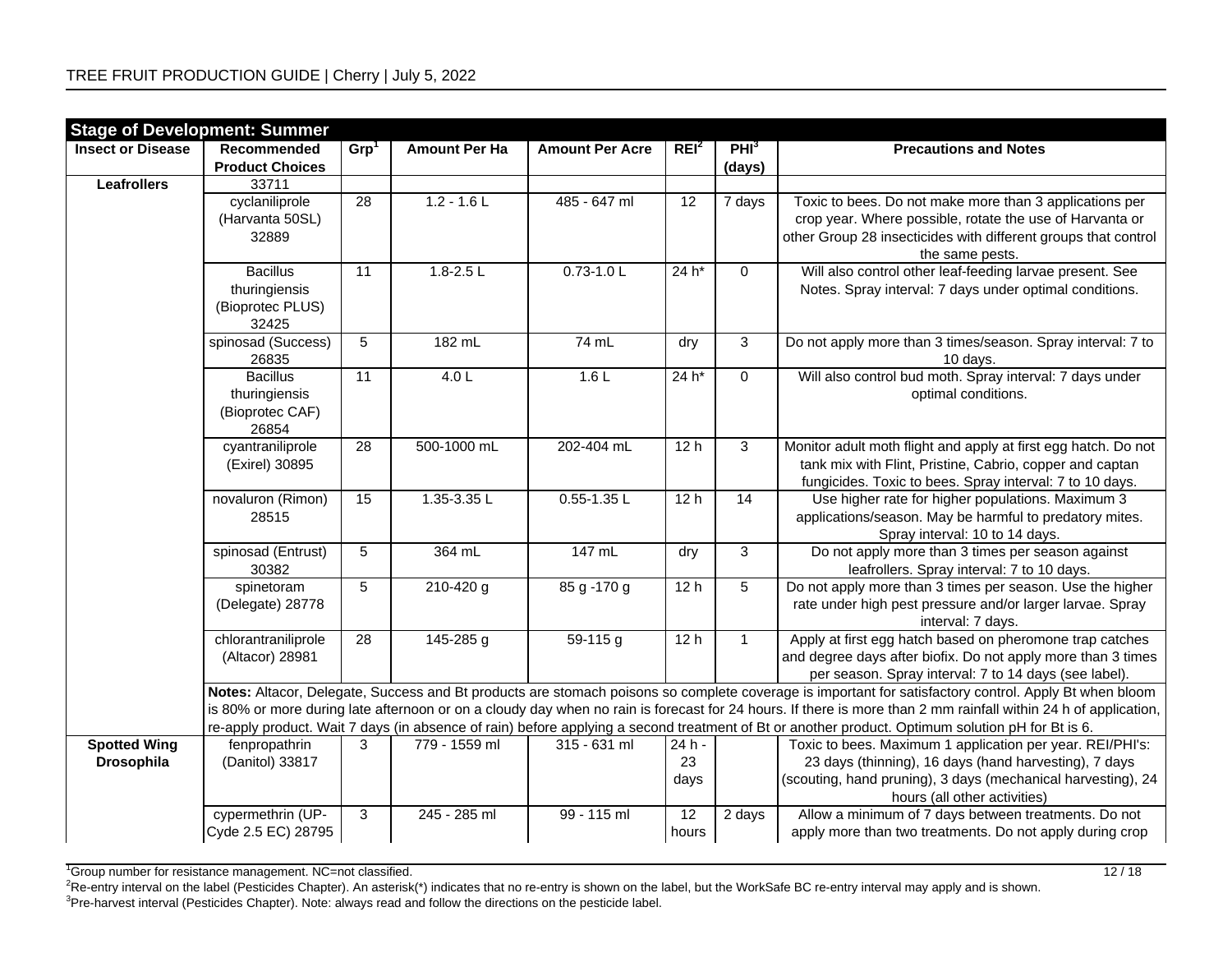| <b>Insect or Disease</b><br>REI <sup>2</sup><br>PHI <sup>3</sup><br>Grp <sup>1</sup><br>Recommended<br><b>Amount Per Ha</b><br><b>Precautions and Notes</b><br><b>Amount Per Acre</b><br><b>Product Choices</b><br>(days)<br>Leafrollers<br>33711<br>$\overline{28}$<br>$1.2 - 1.6$<br>485 - 647 ml<br>$\overline{12}$<br>cyclaniliprole<br>7 days<br>Toxic to bees. Do not make more than 3 applications per<br>(Harvanta 50SL)<br>crop year. Where possible, rotate the use of Harvanta or<br>other Group 28 insecticides with different groups that control<br>32889<br>the same pests.<br>Will also control other leaf-feeding larvae present. See<br>$1.8 - 2.5$ L<br>$0.73 - 1.0$<br><b>Bacillus</b><br>$24 h*$<br>$\mathbf 0$<br>11<br>Notes. Spray interval: 7 days under optimal conditions.<br>thuringiensis<br>(Bioprotec PLUS)<br>32425<br>$\overline{3}$<br>spinosad (Success)<br>$5\phantom{.0}$<br>74 mL<br>182 mL<br>Do not apply more than 3 times/season. Spray interval: 7 to<br>dry<br>26835<br>10 days.<br>4.0 L<br>$\overline{0}$<br>Will also control bud moth. Spray interval: 7 days under<br><b>Bacillus</b><br>$\overline{11}$<br>1.6L<br>$24 h*$<br>thuringiensis<br>optimal conditions.<br>(Bioprotec CAF)<br>26854<br>500-1000 mL<br>202-404 mL<br>3<br>Monitor adult moth flight and apply at first egg hatch. Do not<br>cyantraniliprole<br>28<br>12h<br>tank mix with Flint, Pristine, Cabrio, copper and captan<br>(Exirel) 30895<br>fungicides. Toxic to bees. Spray interval: 7 to 10 days.<br>novaluron (Rimon)<br>15<br>$1.35 - 3.35$ L<br>$0.55 - 1.35$ L<br>12h<br>$\overline{14}$<br>Use higher rate for higher populations. Maximum 3<br>applications/season. May be harmful to predatory mites.<br>28515<br>Spray interval: 10 to 14 days.<br>$\overline{3}$<br>spinosad (Entrust)<br>5<br>364 mL<br>147 mL<br>Do not apply more than 3 times per season against<br>dry<br>leafrollers. Spray interval: 7 to 10 days.<br>30382<br>$\overline{5}$<br>$5\phantom{.0}$<br>$\sqrt{210-420}$ g<br>85 g - 170 g<br>12h<br>Do not apply more than 3 times per season. Use the higher<br>spinetoram<br>rate under high pest pressure and/or larger larvae. Spray<br>(Delegate) 28778<br>interval: 7 days.<br>Apply at first egg hatch based on pheromone trap catches<br>chlorantraniliprole<br>$\overline{28}$<br>145-285 g<br>59-115 g<br>12h<br>$\mathbf{1}$<br>and degree days after biofix. Do not apply more than 3 times<br>(Altacor) 28981<br>per season. Spray interval: 7 to 14 days (see label).<br>Notes: Altacor, Delegate, Success and Bt products are stomach poisons so complete coverage is important for satisfactory control. Apply Bt when bloom | <b>Stage of Development: Summer</b> |  |  |  |
|---------------------------------------------------------------------------------------------------------------------------------------------------------------------------------------------------------------------------------------------------------------------------------------------------------------------------------------------------------------------------------------------------------------------------------------------------------------------------------------------------------------------------------------------------------------------------------------------------------------------------------------------------------------------------------------------------------------------------------------------------------------------------------------------------------------------------------------------------------------------------------------------------------------------------------------------------------------------------------------------------------------------------------------------------------------------------------------------------------------------------------------------------------------------------------------------------------------------------------------------------------------------------------------------------------------------------------------------------------------------------------------------------------------------------------------------------------------------------------------------------------------------------------------------------------------------------------------------------------------------------------------------------------------------------------------------------------------------------------------------------------------------------------------------------------------------------------------------------------------------------------------------------------------------------------------------------------------------------------------------------------------------------------------------------------------------------------------------------------------------------------------------------------------------------------------------------------------------------------------------------------------------------------------------------------------------------------------------------------------------------------------------------------------------------------------------------------------------------------------------------------------------------------------------------------------------------------------------------------------------------------------------------------------------------------------------------------|-------------------------------------|--|--|--|
|                                                                                                                                                                                                                                                                                                                                                                                                                                                                                                                                                                                                                                                                                                                                                                                                                                                                                                                                                                                                                                                                                                                                                                                                                                                                                                                                                                                                                                                                                                                                                                                                                                                                                                                                                                                                                                                                                                                                                                                                                                                                                                                                                                                                                                                                                                                                                                                                                                                                                                                                                                                                                                                                                                         |                                     |  |  |  |
|                                                                                                                                                                                                                                                                                                                                                                                                                                                                                                                                                                                                                                                                                                                                                                                                                                                                                                                                                                                                                                                                                                                                                                                                                                                                                                                                                                                                                                                                                                                                                                                                                                                                                                                                                                                                                                                                                                                                                                                                                                                                                                                                                                                                                                                                                                                                                                                                                                                                                                                                                                                                                                                                                                         |                                     |  |  |  |
|                                                                                                                                                                                                                                                                                                                                                                                                                                                                                                                                                                                                                                                                                                                                                                                                                                                                                                                                                                                                                                                                                                                                                                                                                                                                                                                                                                                                                                                                                                                                                                                                                                                                                                                                                                                                                                                                                                                                                                                                                                                                                                                                                                                                                                                                                                                                                                                                                                                                                                                                                                                                                                                                                                         |                                     |  |  |  |
|                                                                                                                                                                                                                                                                                                                                                                                                                                                                                                                                                                                                                                                                                                                                                                                                                                                                                                                                                                                                                                                                                                                                                                                                                                                                                                                                                                                                                                                                                                                                                                                                                                                                                                                                                                                                                                                                                                                                                                                                                                                                                                                                                                                                                                                                                                                                                                                                                                                                                                                                                                                                                                                                                                         |                                     |  |  |  |
|                                                                                                                                                                                                                                                                                                                                                                                                                                                                                                                                                                                                                                                                                                                                                                                                                                                                                                                                                                                                                                                                                                                                                                                                                                                                                                                                                                                                                                                                                                                                                                                                                                                                                                                                                                                                                                                                                                                                                                                                                                                                                                                                                                                                                                                                                                                                                                                                                                                                                                                                                                                                                                                                                                         |                                     |  |  |  |
|                                                                                                                                                                                                                                                                                                                                                                                                                                                                                                                                                                                                                                                                                                                                                                                                                                                                                                                                                                                                                                                                                                                                                                                                                                                                                                                                                                                                                                                                                                                                                                                                                                                                                                                                                                                                                                                                                                                                                                                                                                                                                                                                                                                                                                                                                                                                                                                                                                                                                                                                                                                                                                                                                                         |                                     |  |  |  |
|                                                                                                                                                                                                                                                                                                                                                                                                                                                                                                                                                                                                                                                                                                                                                                                                                                                                                                                                                                                                                                                                                                                                                                                                                                                                                                                                                                                                                                                                                                                                                                                                                                                                                                                                                                                                                                                                                                                                                                                                                                                                                                                                                                                                                                                                                                                                                                                                                                                                                                                                                                                                                                                                                                         |                                     |  |  |  |
|                                                                                                                                                                                                                                                                                                                                                                                                                                                                                                                                                                                                                                                                                                                                                                                                                                                                                                                                                                                                                                                                                                                                                                                                                                                                                                                                                                                                                                                                                                                                                                                                                                                                                                                                                                                                                                                                                                                                                                                                                                                                                                                                                                                                                                                                                                                                                                                                                                                                                                                                                                                                                                                                                                         |                                     |  |  |  |
|                                                                                                                                                                                                                                                                                                                                                                                                                                                                                                                                                                                                                                                                                                                                                                                                                                                                                                                                                                                                                                                                                                                                                                                                                                                                                                                                                                                                                                                                                                                                                                                                                                                                                                                                                                                                                                                                                                                                                                                                                                                                                                                                                                                                                                                                                                                                                                                                                                                                                                                                                                                                                                                                                                         |                                     |  |  |  |
|                                                                                                                                                                                                                                                                                                                                                                                                                                                                                                                                                                                                                                                                                                                                                                                                                                                                                                                                                                                                                                                                                                                                                                                                                                                                                                                                                                                                                                                                                                                                                                                                                                                                                                                                                                                                                                                                                                                                                                                                                                                                                                                                                                                                                                                                                                                                                                                                                                                                                                                                                                                                                                                                                                         |                                     |  |  |  |
|                                                                                                                                                                                                                                                                                                                                                                                                                                                                                                                                                                                                                                                                                                                                                                                                                                                                                                                                                                                                                                                                                                                                                                                                                                                                                                                                                                                                                                                                                                                                                                                                                                                                                                                                                                                                                                                                                                                                                                                                                                                                                                                                                                                                                                                                                                                                                                                                                                                                                                                                                                                                                                                                                                         |                                     |  |  |  |
|                                                                                                                                                                                                                                                                                                                                                                                                                                                                                                                                                                                                                                                                                                                                                                                                                                                                                                                                                                                                                                                                                                                                                                                                                                                                                                                                                                                                                                                                                                                                                                                                                                                                                                                                                                                                                                                                                                                                                                                                                                                                                                                                                                                                                                                                                                                                                                                                                                                                                                                                                                                                                                                                                                         |                                     |  |  |  |
|                                                                                                                                                                                                                                                                                                                                                                                                                                                                                                                                                                                                                                                                                                                                                                                                                                                                                                                                                                                                                                                                                                                                                                                                                                                                                                                                                                                                                                                                                                                                                                                                                                                                                                                                                                                                                                                                                                                                                                                                                                                                                                                                                                                                                                                                                                                                                                                                                                                                                                                                                                                                                                                                                                         |                                     |  |  |  |
|                                                                                                                                                                                                                                                                                                                                                                                                                                                                                                                                                                                                                                                                                                                                                                                                                                                                                                                                                                                                                                                                                                                                                                                                                                                                                                                                                                                                                                                                                                                                                                                                                                                                                                                                                                                                                                                                                                                                                                                                                                                                                                                                                                                                                                                                                                                                                                                                                                                                                                                                                                                                                                                                                                         |                                     |  |  |  |
|                                                                                                                                                                                                                                                                                                                                                                                                                                                                                                                                                                                                                                                                                                                                                                                                                                                                                                                                                                                                                                                                                                                                                                                                                                                                                                                                                                                                                                                                                                                                                                                                                                                                                                                                                                                                                                                                                                                                                                                                                                                                                                                                                                                                                                                                                                                                                                                                                                                                                                                                                                                                                                                                                                         |                                     |  |  |  |
|                                                                                                                                                                                                                                                                                                                                                                                                                                                                                                                                                                                                                                                                                                                                                                                                                                                                                                                                                                                                                                                                                                                                                                                                                                                                                                                                                                                                                                                                                                                                                                                                                                                                                                                                                                                                                                                                                                                                                                                                                                                                                                                                                                                                                                                                                                                                                                                                                                                                                                                                                                                                                                                                                                         |                                     |  |  |  |
|                                                                                                                                                                                                                                                                                                                                                                                                                                                                                                                                                                                                                                                                                                                                                                                                                                                                                                                                                                                                                                                                                                                                                                                                                                                                                                                                                                                                                                                                                                                                                                                                                                                                                                                                                                                                                                                                                                                                                                                                                                                                                                                                                                                                                                                                                                                                                                                                                                                                                                                                                                                                                                                                                                         |                                     |  |  |  |
|                                                                                                                                                                                                                                                                                                                                                                                                                                                                                                                                                                                                                                                                                                                                                                                                                                                                                                                                                                                                                                                                                                                                                                                                                                                                                                                                                                                                                                                                                                                                                                                                                                                                                                                                                                                                                                                                                                                                                                                                                                                                                                                                                                                                                                                                                                                                                                                                                                                                                                                                                                                                                                                                                                         |                                     |  |  |  |
|                                                                                                                                                                                                                                                                                                                                                                                                                                                                                                                                                                                                                                                                                                                                                                                                                                                                                                                                                                                                                                                                                                                                                                                                                                                                                                                                                                                                                                                                                                                                                                                                                                                                                                                                                                                                                                                                                                                                                                                                                                                                                                                                                                                                                                                                                                                                                                                                                                                                                                                                                                                                                                                                                                         |                                     |  |  |  |
|                                                                                                                                                                                                                                                                                                                                                                                                                                                                                                                                                                                                                                                                                                                                                                                                                                                                                                                                                                                                                                                                                                                                                                                                                                                                                                                                                                                                                                                                                                                                                                                                                                                                                                                                                                                                                                                                                                                                                                                                                                                                                                                                                                                                                                                                                                                                                                                                                                                                                                                                                                                                                                                                                                         |                                     |  |  |  |
|                                                                                                                                                                                                                                                                                                                                                                                                                                                                                                                                                                                                                                                                                                                                                                                                                                                                                                                                                                                                                                                                                                                                                                                                                                                                                                                                                                                                                                                                                                                                                                                                                                                                                                                                                                                                                                                                                                                                                                                                                                                                                                                                                                                                                                                                                                                                                                                                                                                                                                                                                                                                                                                                                                         |                                     |  |  |  |
|                                                                                                                                                                                                                                                                                                                                                                                                                                                                                                                                                                                                                                                                                                                                                                                                                                                                                                                                                                                                                                                                                                                                                                                                                                                                                                                                                                                                                                                                                                                                                                                                                                                                                                                                                                                                                                                                                                                                                                                                                                                                                                                                                                                                                                                                                                                                                                                                                                                                                                                                                                                                                                                                                                         |                                     |  |  |  |
|                                                                                                                                                                                                                                                                                                                                                                                                                                                                                                                                                                                                                                                                                                                                                                                                                                                                                                                                                                                                                                                                                                                                                                                                                                                                                                                                                                                                                                                                                                                                                                                                                                                                                                                                                                                                                                                                                                                                                                                                                                                                                                                                                                                                                                                                                                                                                                                                                                                                                                                                                                                                                                                                                                         |                                     |  |  |  |
|                                                                                                                                                                                                                                                                                                                                                                                                                                                                                                                                                                                                                                                                                                                                                                                                                                                                                                                                                                                                                                                                                                                                                                                                                                                                                                                                                                                                                                                                                                                                                                                                                                                                                                                                                                                                                                                                                                                                                                                                                                                                                                                                                                                                                                                                                                                                                                                                                                                                                                                                                                                                                                                                                                         |                                     |  |  |  |
|                                                                                                                                                                                                                                                                                                                                                                                                                                                                                                                                                                                                                                                                                                                                                                                                                                                                                                                                                                                                                                                                                                                                                                                                                                                                                                                                                                                                                                                                                                                                                                                                                                                                                                                                                                                                                                                                                                                                                                                                                                                                                                                                                                                                                                                                                                                                                                                                                                                                                                                                                                                                                                                                                                         |                                     |  |  |  |
|                                                                                                                                                                                                                                                                                                                                                                                                                                                                                                                                                                                                                                                                                                                                                                                                                                                                                                                                                                                                                                                                                                                                                                                                                                                                                                                                                                                                                                                                                                                                                                                                                                                                                                                                                                                                                                                                                                                                                                                                                                                                                                                                                                                                                                                                                                                                                                                                                                                                                                                                                                                                                                                                                                         |                                     |  |  |  |
|                                                                                                                                                                                                                                                                                                                                                                                                                                                                                                                                                                                                                                                                                                                                                                                                                                                                                                                                                                                                                                                                                                                                                                                                                                                                                                                                                                                                                                                                                                                                                                                                                                                                                                                                                                                                                                                                                                                                                                                                                                                                                                                                                                                                                                                                                                                                                                                                                                                                                                                                                                                                                                                                                                         |                                     |  |  |  |
|                                                                                                                                                                                                                                                                                                                                                                                                                                                                                                                                                                                                                                                                                                                                                                                                                                                                                                                                                                                                                                                                                                                                                                                                                                                                                                                                                                                                                                                                                                                                                                                                                                                                                                                                                                                                                                                                                                                                                                                                                                                                                                                                                                                                                                                                                                                                                                                                                                                                                                                                                                                                                                                                                                         |                                     |  |  |  |
|                                                                                                                                                                                                                                                                                                                                                                                                                                                                                                                                                                                                                                                                                                                                                                                                                                                                                                                                                                                                                                                                                                                                                                                                                                                                                                                                                                                                                                                                                                                                                                                                                                                                                                                                                                                                                                                                                                                                                                                                                                                                                                                                                                                                                                                                                                                                                                                                                                                                                                                                                                                                                                                                                                         |                                     |  |  |  |
|                                                                                                                                                                                                                                                                                                                                                                                                                                                                                                                                                                                                                                                                                                                                                                                                                                                                                                                                                                                                                                                                                                                                                                                                                                                                                                                                                                                                                                                                                                                                                                                                                                                                                                                                                                                                                                                                                                                                                                                                                                                                                                                                                                                                                                                                                                                                                                                                                                                                                                                                                                                                                                                                                                         |                                     |  |  |  |
|                                                                                                                                                                                                                                                                                                                                                                                                                                                                                                                                                                                                                                                                                                                                                                                                                                                                                                                                                                                                                                                                                                                                                                                                                                                                                                                                                                                                                                                                                                                                                                                                                                                                                                                                                                                                                                                                                                                                                                                                                                                                                                                                                                                                                                                                                                                                                                                                                                                                                                                                                                                                                                                                                                         |                                     |  |  |  |
| is 80% or more during late afternoon or on a cloudy day when no rain is forecast for 24 hours. If there is more than 2 mm rainfall within 24 h of application,                                                                                                                                                                                                                                                                                                                                                                                                                                                                                                                                                                                                                                                                                                                                                                                                                                                                                                                                                                                                                                                                                                                                                                                                                                                                                                                                                                                                                                                                                                                                                                                                                                                                                                                                                                                                                                                                                                                                                                                                                                                                                                                                                                                                                                                                                                                                                                                                                                                                                                                                          |                                     |  |  |  |
| re-apply product. Wait 7 days (in absence of rain) before applying a second treatment of Bt or another product. Optimum solution pH for Bt is 6.                                                                                                                                                                                                                                                                                                                                                                                                                                                                                                                                                                                                                                                                                                                                                                                                                                                                                                                                                                                                                                                                                                                                                                                                                                                                                                                                                                                                                                                                                                                                                                                                                                                                                                                                                                                                                                                                                                                                                                                                                                                                                                                                                                                                                                                                                                                                                                                                                                                                                                                                                        |                                     |  |  |  |
| <b>Spotted Wing</b><br>779 - 1559 ml<br>315 - 631 ml<br>24 h -<br>Toxic to bees. Maximum 1 application per year. REI/PHI's:<br>fenpropathrin<br>3                                                                                                                                                                                                                                                                                                                                                                                                                                                                                                                                                                                                                                                                                                                                                                                                                                                                                                                                                                                                                                                                                                                                                                                                                                                                                                                                                                                                                                                                                                                                                                                                                                                                                                                                                                                                                                                                                                                                                                                                                                                                                                                                                                                                                                                                                                                                                                                                                                                                                                                                                       |                                     |  |  |  |
| Drosophila<br>(Danitol) 33817<br>23<br>23 days (thinning), 16 days (hand harvesting), 7 days                                                                                                                                                                                                                                                                                                                                                                                                                                                                                                                                                                                                                                                                                                                                                                                                                                                                                                                                                                                                                                                                                                                                                                                                                                                                                                                                                                                                                                                                                                                                                                                                                                                                                                                                                                                                                                                                                                                                                                                                                                                                                                                                                                                                                                                                                                                                                                                                                                                                                                                                                                                                            |                                     |  |  |  |
| (scouting, hand pruning), 3 days (mechanical harvesting), 24                                                                                                                                                                                                                                                                                                                                                                                                                                                                                                                                                                                                                                                                                                                                                                                                                                                                                                                                                                                                                                                                                                                                                                                                                                                                                                                                                                                                                                                                                                                                                                                                                                                                                                                                                                                                                                                                                                                                                                                                                                                                                                                                                                                                                                                                                                                                                                                                                                                                                                                                                                                                                                            |                                     |  |  |  |
| days<br>hours (all other activities)                                                                                                                                                                                                                                                                                                                                                                                                                                                                                                                                                                                                                                                                                                                                                                                                                                                                                                                                                                                                                                                                                                                                                                                                                                                                                                                                                                                                                                                                                                                                                                                                                                                                                                                                                                                                                                                                                                                                                                                                                                                                                                                                                                                                                                                                                                                                                                                                                                                                                                                                                                                                                                                                    |                                     |  |  |  |
| 3<br>245 - 285 ml<br>99 - 115 ml<br>12<br>Allow a minimum of 7 days between treatments. Do not<br>cypermethrin (UP-<br>2 days                                                                                                                                                                                                                                                                                                                                                                                                                                                                                                                                                                                                                                                                                                                                                                                                                                                                                                                                                                                                                                                                                                                                                                                                                                                                                                                                                                                                                                                                                                                                                                                                                                                                                                                                                                                                                                                                                                                                                                                                                                                                                                                                                                                                                                                                                                                                                                                                                                                                                                                                                                           |                                     |  |  |  |
| Cyde 2.5 EC) 28795<br>apply more than two treatments. Do not apply during crop<br>hours                                                                                                                                                                                                                                                                                                                                                                                                                                                                                                                                                                                                                                                                                                                                                                                                                                                                                                                                                                                                                                                                                                                                                                                                                                                                                                                                                                                                                                                                                                                                                                                                                                                                                                                                                                                                                                                                                                                                                                                                                                                                                                                                                                                                                                                                                                                                                                                                                                                                                                                                                                                                                 |                                     |  |  |  |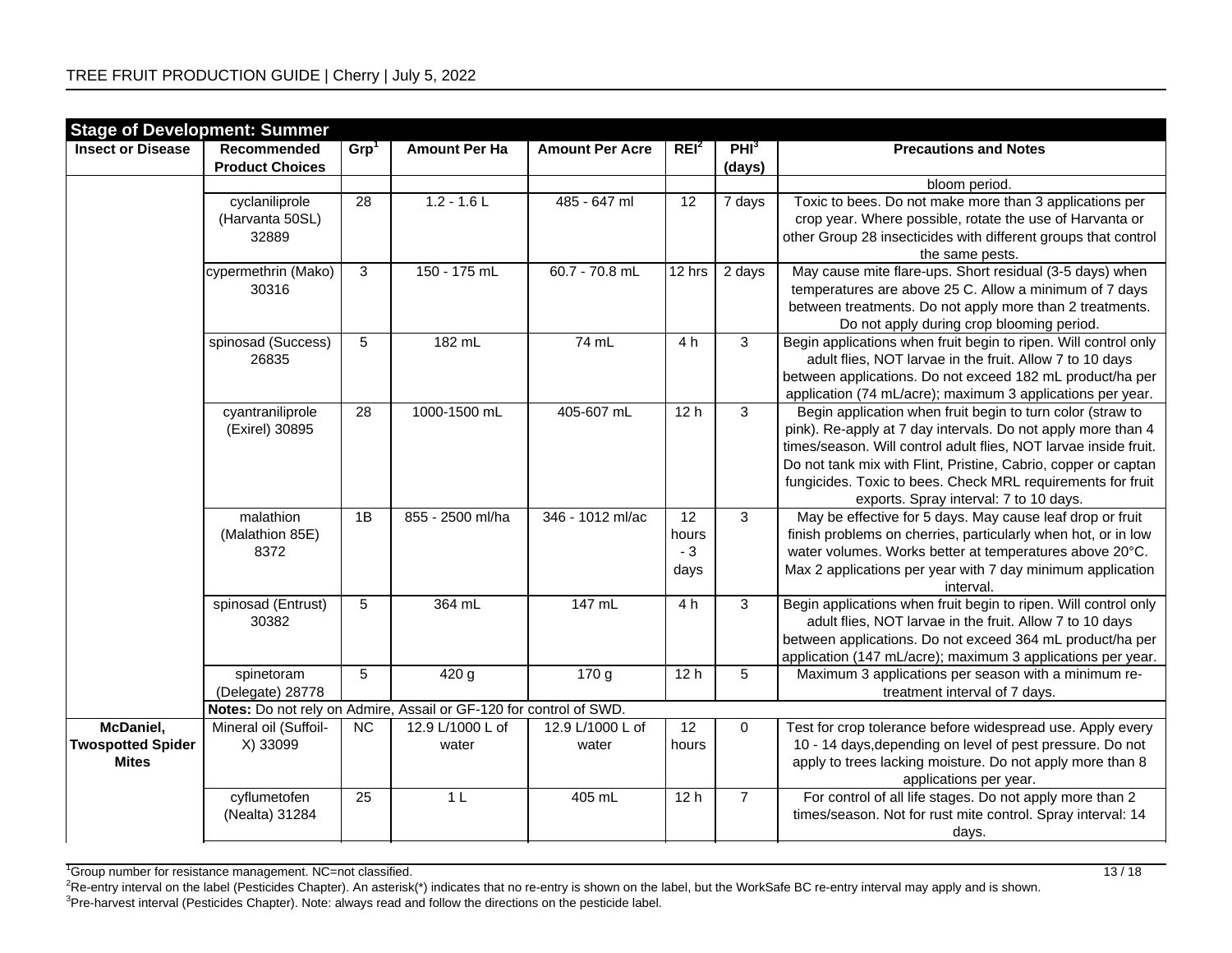|                                          | <b>Stage of Development: Summer</b> |                  |                                                                                        |                        |                  |                  |                                                                                    |
|------------------------------------------|-------------------------------------|------------------|----------------------------------------------------------------------------------------|------------------------|------------------|------------------|------------------------------------------------------------------------------------|
| <b>Insect or Disease</b>                 | Recommended                         | Grp <sup>1</sup> | <b>Amount Per Ha</b>                                                                   | <b>Amount Per Acre</b> | REI <sup>2</sup> | PHI <sup>3</sup> | <b>Precautions and Notes</b>                                                       |
|                                          | <b>Product Choices</b>              |                  |                                                                                        |                        |                  | (days)           |                                                                                    |
|                                          |                                     |                  |                                                                                        |                        |                  |                  | bloom period.                                                                      |
|                                          | cyclaniliprole                      | $\overline{28}$  | $1.2 - 1.6$ L                                                                          | 485 - 647 ml           | $\overline{12}$  | 7 days           | Toxic to bees. Do not make more than 3 applications per                            |
|                                          | (Harvanta 50SL)                     |                  |                                                                                        |                        |                  |                  | crop year. Where possible, rotate the use of Harvanta or                           |
|                                          | 32889                               |                  |                                                                                        |                        |                  |                  | other Group 28 insecticides with different groups that control                     |
|                                          |                                     |                  |                                                                                        |                        |                  |                  | the same pests.                                                                    |
|                                          | cypermethrin (Mako)                 | $\mathbf{3}$     | 150 - 175 mL                                                                           | 60.7 - 70.8 mL         | 12 hrs           | 2 days           | May cause mite flare-ups. Short residual (3-5 days) when                           |
|                                          | 30316                               |                  |                                                                                        |                        |                  |                  | temperatures are above 25 C. Allow a minimum of 7 days                             |
|                                          |                                     |                  |                                                                                        |                        |                  |                  | between treatments. Do not apply more than 2 treatments.                           |
|                                          |                                     |                  |                                                                                        |                        |                  |                  | Do not apply during crop blooming period.                                          |
|                                          | spinosad (Success)                  | $5\phantom{.0}$  | 182 mL                                                                                 | 74 mL                  | 4 h              | 3                | Begin applications when fruit begin to ripen. Will control only                    |
|                                          | 26835                               |                  |                                                                                        |                        |                  |                  | adult flies, NOT larvae in the fruit. Allow 7 to 10 days                           |
|                                          |                                     |                  |                                                                                        |                        |                  |                  | between applications. Do not exceed 182 mL product/ha per                          |
|                                          |                                     |                  |                                                                                        |                        |                  |                  | application (74 mL/acre); maximum 3 applications per year.                         |
|                                          | cyantraniliprole                    | 28               | 1000-1500 mL                                                                           | 405-607 mL             | 12h              | $\overline{3}$   | Begin application when fruit begin to turn color (straw to                         |
|                                          | (Exirel) 30895                      |                  |                                                                                        |                        |                  |                  | pink). Re-apply at 7 day intervals. Do not apply more than 4                       |
|                                          |                                     |                  |                                                                                        |                        |                  |                  | times/season. Will control adult flies, NOT larvae inside fruit.                   |
|                                          |                                     |                  |                                                                                        |                        |                  |                  | Do not tank mix with Flint, Pristine, Cabrio, copper or captan                     |
|                                          |                                     |                  |                                                                                        |                        |                  |                  | fungicides. Toxic to bees. Check MRL requirements for fruit                        |
|                                          |                                     |                  |                                                                                        |                        |                  |                  | exports. Spray interval: 7 to 10 days.                                             |
|                                          | malathion                           | 1B               | 855 - 2500 ml/ha                                                                       | 346 - 1012 ml/ac       | $\overline{12}$  | 3                | May be effective for 5 days. May cause leaf drop or fruit                          |
|                                          | (Malathion 85E)                     |                  |                                                                                        |                        | hours            |                  | finish problems on cherries, particularly when hot, or in low                      |
|                                          | 8372                                |                  |                                                                                        |                        | $-3$             |                  | water volumes. Works better at temperatures above 20°C.                            |
|                                          |                                     |                  |                                                                                        |                        | days             |                  | Max 2 applications per year with 7 day minimum application                         |
|                                          |                                     |                  |                                                                                        |                        |                  |                  | interval.                                                                          |
|                                          | spinosad (Entrust)                  | $5\phantom{.0}$  | 364 mL                                                                                 | 147 mL                 | 4 h              | 3                | Begin applications when fruit begin to ripen. Will control only                    |
|                                          | 30382                               |                  |                                                                                        |                        |                  |                  | adult flies, NOT larvae in the fruit. Allow 7 to 10 days                           |
|                                          |                                     |                  |                                                                                        |                        |                  |                  | between applications. Do not exceed 364 mL product/ha per                          |
|                                          |                                     |                  |                                                                                        |                        |                  |                  | application (147 mL/acre); maximum 3 applications per year.                        |
|                                          | spinetoram                          | 5                | 420 g                                                                                  | 170 g                  | 12h              | 5                | Maximum 3 applications per season with a minimum re-                               |
|                                          | (Delegate) 28778                    |                  |                                                                                        |                        |                  |                  | treatment interval of 7 days.                                                      |
| McDaniel,                                | Mineral oil (Suffoil-               | NC               | Notes: Do not rely on Admire, Assail or GF-120 for control of SWD.<br>12.9 L/1000 L of | 12.9 L/1000 L of       | 12               | 0                | Test for crop tolerance before widespread use. Apply every                         |
|                                          |                                     |                  |                                                                                        |                        |                  |                  | 10 - 14 days, depending on level of pest pressure. Do not                          |
| <b>Twospotted Spider</b><br><b>Mites</b> | X) 33099                            |                  | water                                                                                  | water                  | hours            |                  |                                                                                    |
|                                          |                                     |                  |                                                                                        |                        |                  |                  | apply to trees lacking moisture. Do not apply more than 8                          |
|                                          | cyflumetofen                        | 25               | 1 <sub>L</sub>                                                                         | 405 mL                 | 12h              | $\overline{7}$   | applications per year.<br>For control of all life stages. Do not apply more than 2 |
|                                          |                                     |                  |                                                                                        |                        |                  |                  |                                                                                    |
|                                          | (Nealta) 31284                      |                  |                                                                                        |                        |                  |                  | times/season. Not for rust mite control. Spray interval: 14                        |
|                                          |                                     |                  |                                                                                        |                        |                  |                  | days.                                                                              |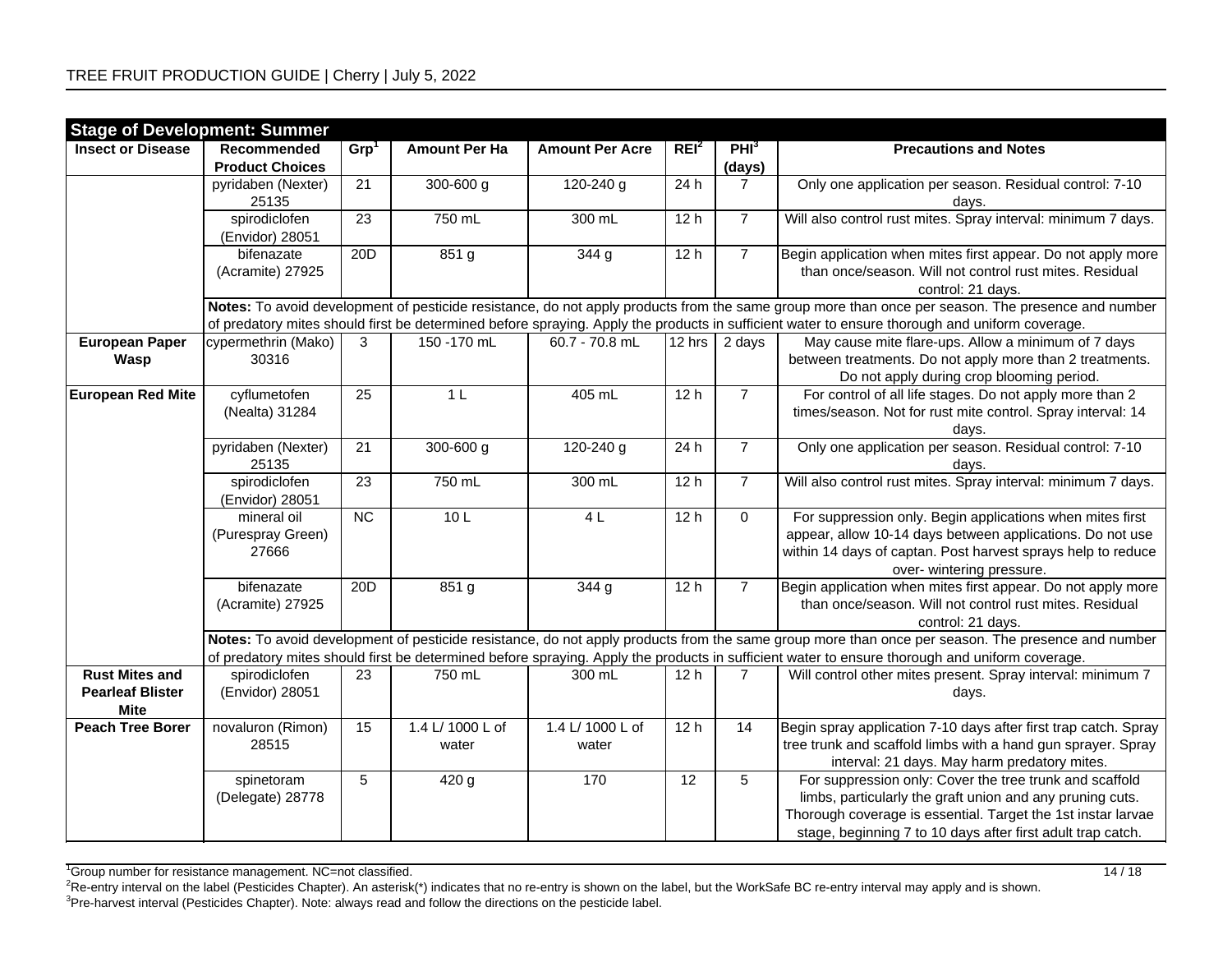| <b>Stage of Development: Summer</b>                             |                                                                                                                                                                                                                                                                                                     |                  |                           |                           |                  |                  |                                                                                                                                                                                                                                                     |  |  |  |  |
|-----------------------------------------------------------------|-----------------------------------------------------------------------------------------------------------------------------------------------------------------------------------------------------------------------------------------------------------------------------------------------------|------------------|---------------------------|---------------------------|------------------|------------------|-----------------------------------------------------------------------------------------------------------------------------------------------------------------------------------------------------------------------------------------------------|--|--|--|--|
| <b>Insect or Disease</b>                                        | Recommended                                                                                                                                                                                                                                                                                         | Grp <sup>1</sup> | <b>Amount Per Ha</b>      | <b>Amount Per Acre</b>    | REI <sup>2</sup> | PHI <sup>3</sup> | <b>Precautions and Notes</b>                                                                                                                                                                                                                        |  |  |  |  |
|                                                                 | <b>Product Choices</b>                                                                                                                                                                                                                                                                              |                  |                           |                           |                  | (days)           |                                                                                                                                                                                                                                                     |  |  |  |  |
|                                                                 | pyridaben (Nexter)<br>25135                                                                                                                                                                                                                                                                         | $\overline{21}$  | $300 - 600$ g             | 120-240 g                 | 24h              | $\overline{7}$   | Only one application per season. Residual control: 7-10<br>days.                                                                                                                                                                                    |  |  |  |  |
|                                                                 | spirodiclofen<br>(Envidor) 28051                                                                                                                                                                                                                                                                    | 23               | 750 mL                    | 300 mL                    | 12h              | $\overline{7}$   | Will also control rust mites. Spray interval: minimum 7 days.                                                                                                                                                                                       |  |  |  |  |
|                                                                 | bifenazate<br>(Acramite) 27925                                                                                                                                                                                                                                                                      | 20D              | 851 g                     | 344g                      | 12h              | $\overline{7}$   | Begin application when mites first appear. Do not apply more<br>than once/season. Will not control rust mites. Residual<br>control: 21 days.                                                                                                        |  |  |  |  |
|                                                                 | Notes: To avoid development of pesticide resistance, do not apply products from the same group more than once per season. The presence and number<br>of predatory mites should first be determined before spraying. Apply the products in sufficient water to ensure thorough and uniform coverage. |                  |                           |                           |                  |                  |                                                                                                                                                                                                                                                     |  |  |  |  |
| <b>European Paper</b><br>Wasp                                   | cypermethrin (Mako)<br>30316                                                                                                                                                                                                                                                                        | 3                | 150 - 170 mL              | 60.7 - 70.8 mL            | $12$ hrs         | 2 days           | May cause mite flare-ups. Allow a minimum of 7 days<br>between treatments. Do not apply more than 2 treatments.<br>Do not apply during crop blooming period.                                                                                        |  |  |  |  |
| <b>European Red Mite</b>                                        | cyflumetofen<br>(Nealta) 31284                                                                                                                                                                                                                                                                      | $\overline{25}$  | 1 <sub>L</sub>            | 405 mL                    | 12h              | $\overline{7}$   | For control of all life stages. Do not apply more than 2<br>times/season. Not for rust mite control. Spray interval: 14<br>days.                                                                                                                    |  |  |  |  |
|                                                                 | pyridaben (Nexter)<br>25135                                                                                                                                                                                                                                                                         | 21               | $300 - 600$ g             | 120-240 g                 | 24h              | $\overline{7}$   | Only one application per season. Residual control: 7-10<br>days.                                                                                                                                                                                    |  |  |  |  |
|                                                                 | spirodiclofen<br>(Envidor) 28051                                                                                                                                                                                                                                                                    | 23               | 750 mL                    | 300 mL                    | 12h              | $\overline{7}$   | Will also control rust mites. Spray interval: minimum 7 days.                                                                                                                                                                                       |  |  |  |  |
|                                                                 | mineral oil<br>(Purespray Green)<br>27666                                                                                                                                                                                                                                                           | NC               | 10L                       | 4L                        | 12h              | $\mathbf 0$      | For suppression only. Begin applications when mites first<br>appear, allow 10-14 days between applications. Do not use<br>within 14 days of captan. Post harvest sprays help to reduce<br>over- wintering pressure.                                 |  |  |  |  |
|                                                                 | bifenazate<br>(Acramite) 27925                                                                                                                                                                                                                                                                      | 20D              | 851 g                     | 344 g                     | 12h              | $\overline{7}$   | Begin application when mites first appear. Do not apply more<br>than once/season. Will not control rust mites. Residual<br>control: 21 days.                                                                                                        |  |  |  |  |
|                                                                 | Notes: To avoid development of pesticide resistance, do not apply products from the same group more than once per season. The presence and number<br>of predatory mites should first be determined before spraying. Apply the products in sufficient water to ensure thorough and uniform coverage. |                  |                           |                           |                  |                  |                                                                                                                                                                                                                                                     |  |  |  |  |
| <b>Rust Mites and</b><br><b>Pearleaf Blister</b><br><b>Mite</b> | spirodiclofen<br>(Envidor) 28051                                                                                                                                                                                                                                                                    | 23               | 750 mL                    | 300 mL                    | 12 <sub>h</sub>  | $\overline{7}$   | Will control other mites present. Spray interval: minimum 7<br>days.                                                                                                                                                                                |  |  |  |  |
| <b>Peach Tree Borer</b>                                         | novaluron (Rimon)<br>28515                                                                                                                                                                                                                                                                          | 15               | 1.4 L/ 1000 L of<br>water | 1.4 L/ 1000 L of<br>water | 12h              | $\overline{14}$  | Begin spray application 7-10 days after first trap catch. Spray<br>tree trunk and scaffold limbs with a hand gun sprayer. Spray<br>interval: 21 days. May harm predatory mites.                                                                     |  |  |  |  |
|                                                                 | spinetoram<br>(Delegate) 28778                                                                                                                                                                                                                                                                      | 5                | 420 g                     | 170                       | $\overline{12}$  | $\overline{5}$   | For suppression only: Cover the tree trunk and scaffold<br>limbs, particularly the graft union and any pruning cuts.<br>Thorough coverage is essential. Target the 1st instar larvae<br>stage, beginning 7 to 10 days after first adult trap catch. |  |  |  |  |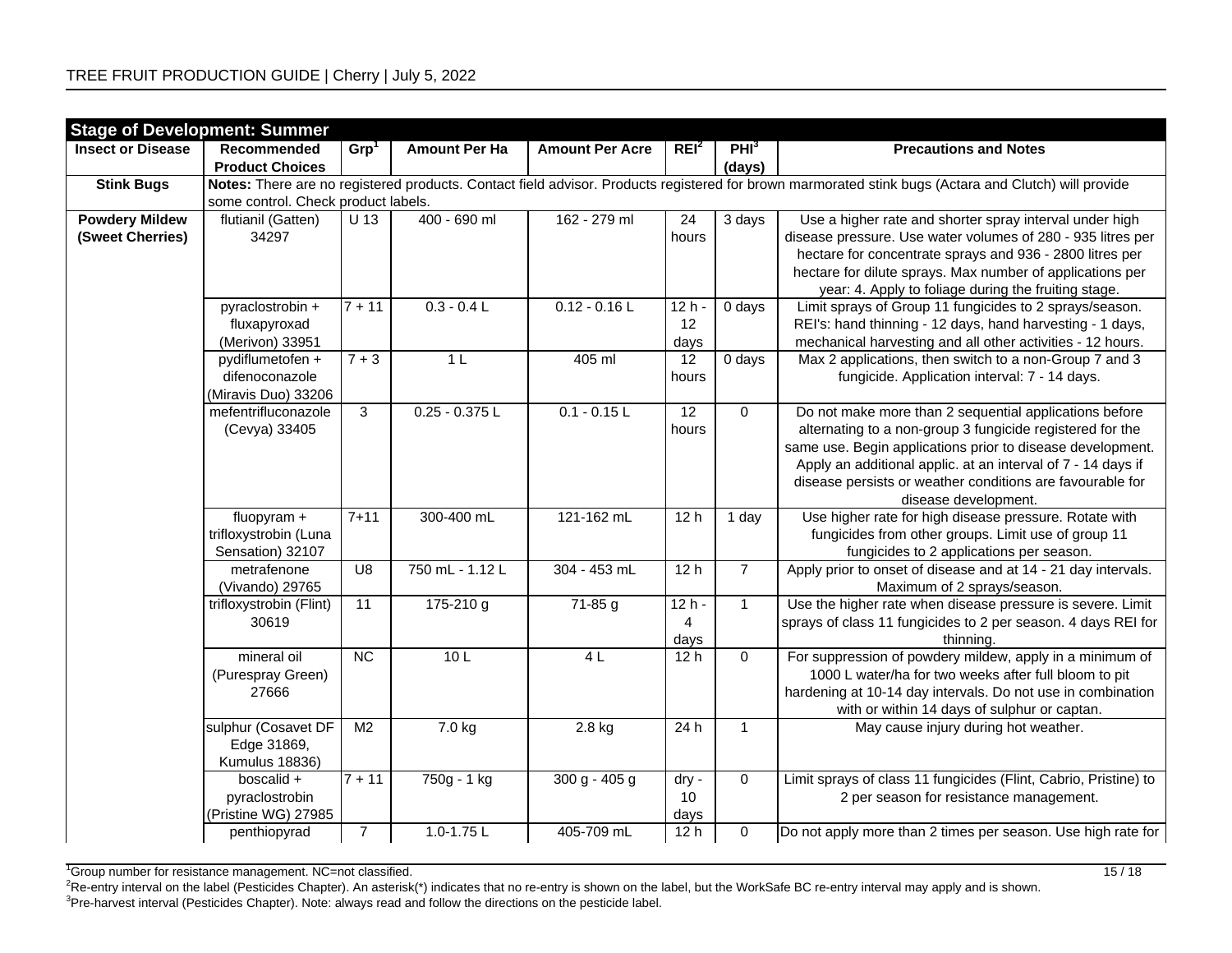| <b>Stage of Development: Summer</b> |                                       |                  |                      |                        |                  |                  |                                                                                                                                                      |
|-------------------------------------|---------------------------------------|------------------|----------------------|------------------------|------------------|------------------|------------------------------------------------------------------------------------------------------------------------------------------------------|
| <b>Insect or Disease</b>            | Recommended                           | Grp <sup>1</sup> | <b>Amount Per Ha</b> | <b>Amount Per Acre</b> | REI <sup>2</sup> | PHI <sup>3</sup> | <b>Precautions and Notes</b>                                                                                                                         |
|                                     | <b>Product Choices</b>                |                  |                      |                        |                  | (days)           |                                                                                                                                                      |
| <b>Stink Bugs</b>                   |                                       |                  |                      |                        |                  |                  | Notes: There are no registered products. Contact field advisor. Products registered for brown marmorated stink bugs (Actara and Clutch) will provide |
|                                     | some control. Check product labels.   |                  |                      |                        |                  |                  |                                                                                                                                                      |
| <b>Powdery Mildew</b>               | flutianil (Gatten)                    | U 13             | 400 - 690 ml         | 162 - 279 ml           | 24               | 3 days           | Use a higher rate and shorter spray interval under high                                                                                              |
| (Sweet Cherries)                    | 34297                                 |                  |                      |                        | hours            |                  | disease pressure. Use water volumes of 280 - 935 litres per                                                                                          |
|                                     |                                       |                  |                      |                        |                  |                  | hectare for concentrate sprays and 936 - 2800 litres per                                                                                             |
|                                     |                                       |                  |                      |                        |                  |                  | hectare for dilute sprays. Max number of applications per                                                                                            |
|                                     |                                       |                  |                      |                        |                  |                  | year: 4. Apply to foliage during the fruiting stage.                                                                                                 |
|                                     | pyraclostrobin +                      | $7 + 11$         | $0.3 - 0.4 L$        | $0.12 - 0.16$ L        | $12h -$          | 0 days           | Limit sprays of Group 11 fungicides to 2 sprays/season.                                                                                              |
|                                     | fluxapyroxad                          |                  |                      |                        | 12               |                  | REI's: hand thinning - 12 days, hand harvesting - 1 days,                                                                                            |
|                                     | (Merivon) 33951                       |                  |                      |                        | days             |                  | mechanical harvesting and all other activities - 12 hours.                                                                                           |
|                                     | pydiflumetofen +                      | $7 + 3$          | 1 <sub>L</sub>       | 405 ml                 | 12               | 0 days           | Max 2 applications, then switch to a non-Group 7 and 3                                                                                               |
|                                     | difenoconazole<br>(Miravis Duo) 33206 |                  |                      |                        | hours            |                  | fungicide. Application interval: 7 - 14 days.                                                                                                        |
|                                     | mefentrifluconazole                   | $\overline{3}$   | $0.25 - 0.375$ L     | $0.1 - 0.15$ L         | 12               | $\mathbf 0$      | Do not make more than 2 sequential applications before                                                                                               |
|                                     | (Cevya) 33405                         |                  |                      |                        | hours            |                  | alternating to a non-group 3 fungicide registered for the                                                                                            |
|                                     |                                       |                  |                      |                        |                  |                  | same use. Begin applications prior to disease development.                                                                                           |
|                                     |                                       |                  |                      |                        |                  |                  | Apply an additional applic. at an interval of 7 - 14 days if                                                                                         |
|                                     |                                       |                  |                      |                        |                  |                  | disease persists or weather conditions are favourable for                                                                                            |
|                                     |                                       |                  |                      |                        |                  |                  | disease development.                                                                                                                                 |
|                                     | fluopyram +                           | $7 + 11$         | 300-400 mL           | 121-162 mL             | 12h              | 1 day            | Use higher rate for high disease pressure. Rotate with                                                                                               |
|                                     | trifloxystrobin (Luna                 |                  |                      |                        |                  |                  | fungicides from other groups. Limit use of group 11                                                                                                  |
|                                     | Sensation) 32107                      |                  |                      |                        |                  |                  | fungicides to 2 applications per season.                                                                                                             |
|                                     | metrafenone                           | $\overline{U8}$  | 750 mL - 1.12 L      | 304 - 453 mL           | 12h              | $\overline{7}$   | Apply prior to onset of disease and at 14 - 21 day intervals.                                                                                        |
|                                     | (Vivando) 29765                       |                  |                      |                        |                  |                  | Maximum of 2 sprays/season.                                                                                                                          |
|                                     | trifloxystrobin (Flint)               | 11               | 175-210 g            | 71-85 g                | $12h -$          | $\mathbf{1}$     | Use the higher rate when disease pressure is severe. Limit                                                                                           |
|                                     | 30619                                 |                  |                      |                        | 4                |                  | sprays of class 11 fungicides to 2 per season. 4 days REI for                                                                                        |
|                                     |                                       |                  |                      |                        | days             |                  | thinning.                                                                                                                                            |
|                                     | mineral oil                           | NC               | 10L                  | 4L                     | 12h              | $\mathbf 0$      | For suppression of powdery mildew, apply in a minimum of                                                                                             |
|                                     | (Purespray Green)                     |                  |                      |                        |                  |                  | 1000 L water/ha for two weeks after full bloom to pit                                                                                                |
|                                     | 27666                                 |                  |                      |                        |                  |                  | hardening at 10-14 day intervals. Do not use in combination                                                                                          |
|                                     |                                       |                  |                      |                        |                  |                  | with or within 14 days of sulphur or captan.                                                                                                         |
|                                     | sulphur (Cosavet DF                   | M <sub>2</sub>   | 7.0 kg               | 2.8 kg                 | 24h              | $\mathbf{1}$     | May cause injury during hot weather.                                                                                                                 |
|                                     | Edge 31869,                           |                  |                      |                        |                  |                  |                                                                                                                                                      |
|                                     | Kumulus 18836)                        |                  |                      |                        |                  |                  |                                                                                                                                                      |
|                                     | boscalid +                            | $\sqrt{7+11}$    | 750g - 1 kg          | $300 g - 405 g$        | dry -            | $\mathbf 0$      | Limit sprays of class 11 fungicides (Flint, Cabrio, Pristine) to                                                                                     |
|                                     | pyraclostrobin                        |                  |                      |                        | 10               |                  | 2 per season for resistance management.                                                                                                              |
|                                     | (Pristine WG) 27985                   |                  |                      |                        | days             |                  |                                                                                                                                                      |
|                                     | penthiopyrad                          | $\overline{7}$   | $1.0 - 1.75$ L       | 405-709 mL             | 12 <sub>h</sub>  | $\mathbf 0$      | Do not apply more than 2 times per season. Use high rate for                                                                                         |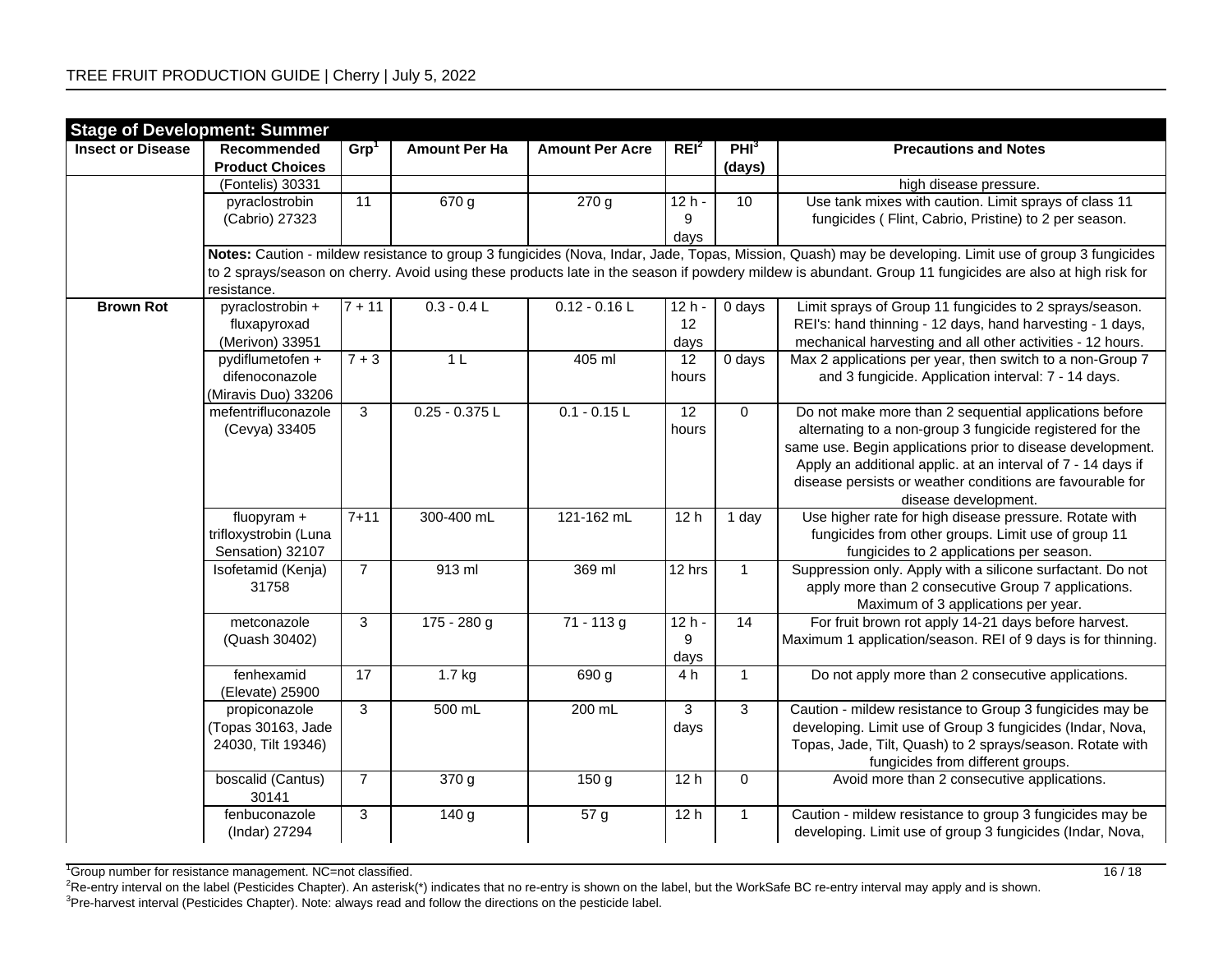|                          | <b>Stage of Development: Summer</b> |                     |                      |                        |                  |                  |                                                                                                                                                          |
|--------------------------|-------------------------------------|---------------------|----------------------|------------------------|------------------|------------------|----------------------------------------------------------------------------------------------------------------------------------------------------------|
| <b>Insect or Disease</b> | Recommended                         | Grp <sup>1</sup>    | <b>Amount Per Ha</b> | <b>Amount Per Acre</b> | REI <sup>2</sup> | PHI <sup>3</sup> | <b>Precautions and Notes</b>                                                                                                                             |
|                          | <b>Product Choices</b>              |                     |                      |                        |                  | (days)           |                                                                                                                                                          |
|                          | (Fontelis) 30331                    |                     |                      |                        |                  |                  | high disease pressure.                                                                                                                                   |
|                          | pyraclostrobin                      | 11                  | 670 g                | 270 g                  | $12h -$          | 10               | Use tank mixes with caution. Limit sprays of class 11                                                                                                    |
|                          | (Cabrio) 27323                      |                     |                      |                        | 9                |                  | fungicides (Flint, Cabrio, Pristine) to 2 per season.                                                                                                    |
|                          |                                     |                     |                      |                        | days             |                  |                                                                                                                                                          |
|                          |                                     |                     |                      |                        |                  |                  | Notes: Caution - mildew resistance to group 3 fungicides (Nova, Indar, Jade, Topas, Mission, Quash) may be developing. Limit use of group 3 fungicides   |
|                          |                                     |                     |                      |                        |                  |                  | to 2 sprays/season on cherry. Avoid using these products late in the season if powdery mildew is abundant. Group 11 fungicides are also at high risk for |
|                          | resistance.                         |                     |                      |                        |                  |                  |                                                                                                                                                          |
| <b>Brown Rot</b>         | pyraclostrobin +                    | $\overline{7}$ + 11 | $0.3 - 0.4 L$        | $0.12 - 0.16$ L        | $12h -$          | 0 days           | Limit sprays of Group 11 fungicides to 2 sprays/season.                                                                                                  |
|                          | fluxapyroxad                        |                     |                      |                        | 12               |                  | REI's: hand thinning - 12 days, hand harvesting - 1 days,                                                                                                |
|                          | (Merivon) 33951                     |                     |                      |                        | days             |                  | mechanical harvesting and all other activities - 12 hours.                                                                                               |
|                          | pydiflumetofen +                    | $\frac{1}{7+3}$     | 1 <sub>L</sub>       | 405 ml                 | 12               | 0 days           | Max 2 applications per year, then switch to a non-Group 7                                                                                                |
|                          | difenoconazole                      |                     |                      |                        | hours            |                  | and 3 fungicide. Application interval: 7 - 14 days.                                                                                                      |
|                          | (Miravis Duo) 33206                 |                     |                      |                        |                  |                  |                                                                                                                                                          |
|                          | mefentrifluconazole                 | $\overline{3}$      | $0.25 - 0.375$ L     | $0.1 - 0.15$ L         | 12               | $\mathbf 0$      | Do not make more than 2 sequential applications before                                                                                                   |
|                          | (Cevya) 33405                       |                     |                      |                        | hours            |                  | alternating to a non-group 3 fungicide registered for the                                                                                                |
|                          |                                     |                     |                      |                        |                  |                  | same use. Begin applications prior to disease development.                                                                                               |
|                          |                                     |                     |                      |                        |                  |                  | Apply an additional applic. at an interval of 7 - 14 days if                                                                                             |
|                          |                                     |                     |                      |                        |                  |                  | disease persists or weather conditions are favourable for                                                                                                |
|                          | fluopyram +                         | $7 + 11$            | 300-400 mL           | 121-162 mL             | 12h              | 1 day            | disease development.<br>Use higher rate for high disease pressure. Rotate with                                                                           |
|                          | trifloxystrobin (Luna               |                     |                      |                        |                  |                  | fungicides from other groups. Limit use of group 11                                                                                                      |
|                          | Sensation) 32107                    |                     |                      |                        |                  |                  | fungicides to 2 applications per season.                                                                                                                 |
|                          | Isofetamid (Kenja)                  | $\overline{7}$      | 913 ml               | 369 ml                 | 12 hrs           | $\mathbf{1}$     | Suppression only. Apply with a silicone surfactant. Do not                                                                                               |
|                          | 31758                               |                     |                      |                        |                  |                  | apply more than 2 consecutive Group 7 applications.                                                                                                      |
|                          |                                     |                     |                      |                        |                  |                  | Maximum of 3 applications per year.                                                                                                                      |
|                          | metconazole                         | $\mathbf{3}$        | $175 - 280$ g        | $71 - 113$ g           | $12h -$          | 14               | For fruit brown rot apply 14-21 days before harvest.                                                                                                     |
|                          | (Quash 30402)                       |                     |                      |                        | 9                |                  | Maximum 1 application/season. REI of 9 days is for thinning.                                                                                             |
|                          |                                     |                     |                      |                        | days             |                  |                                                                                                                                                          |
|                          | fenhexamid                          | 17                  | 1.7 kg               | 690 g                  | 4 h              | $\mathbf{1}$     | Do not apply more than 2 consecutive applications.                                                                                                       |
|                          | (Elevate) 25900                     |                     |                      |                        |                  |                  |                                                                                                                                                          |
|                          | propiconazole                       | 3                   | 500 mL               | 200 mL                 | $\mathbf{3}$     | 3                | Caution - mildew resistance to Group 3 fungicides may be                                                                                                 |
|                          | (Topas 30163, Jade                  |                     |                      |                        | days             |                  | developing. Limit use of Group 3 fungicides (Indar, Nova,                                                                                                |
|                          | 24030, Tilt 19346)                  |                     |                      |                        |                  |                  | Topas, Jade, Tilt, Quash) to 2 sprays/season. Rotate with                                                                                                |
|                          |                                     |                     |                      |                        |                  |                  | fungicides from different groups.                                                                                                                        |
|                          | boscalid (Cantus)                   | $\overline{7}$      | 370 g                | 150 <sub>g</sub>       | 12h              | $\pmb{0}$        | Avoid more than 2 consecutive applications.                                                                                                              |
|                          | 30141                               |                     |                      |                        |                  |                  |                                                                                                                                                          |
|                          | fenbuconazole                       | $\overline{3}$      | 140 g                | 57 g                   | 12h              | $\mathbf{1}$     | Caution - mildew resistance to group 3 fungicides may be                                                                                                 |
|                          | (Indar) 27294                       |                     |                      |                        |                  |                  | developing. Limit use of group 3 fungicides (Indar, Nova,                                                                                                |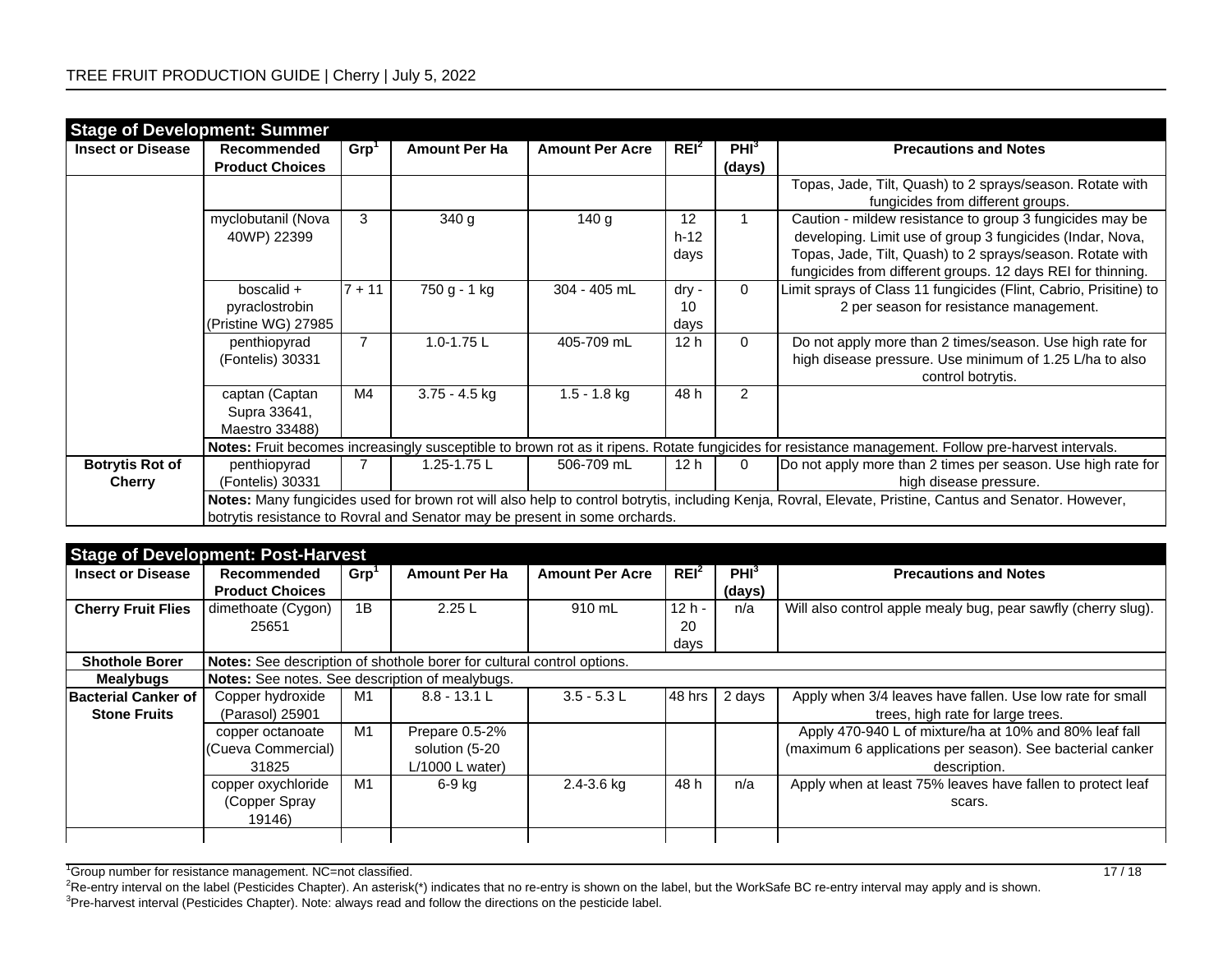| <b>Stage of Development: Summer</b> |                        |                |                      |                                                                            |                  |                  |                                                                                                                                                        |
|-------------------------------------|------------------------|----------------|----------------------|----------------------------------------------------------------------------|------------------|------------------|--------------------------------------------------------------------------------------------------------------------------------------------------------|
| <b>Insect or Disease</b>            | Recommended            | Grp'           | <b>Amount Per Ha</b> | <b>Amount Per Acre</b>                                                     | REI <sup>2</sup> | PHI <sup>3</sup> | <b>Precautions and Notes</b>                                                                                                                           |
|                                     | <b>Product Choices</b> |                |                      |                                                                            |                  | (days)           |                                                                                                                                                        |
|                                     |                        |                |                      |                                                                            |                  |                  | Topas, Jade, Tilt, Quash) to 2 sprays/season. Rotate with                                                                                              |
|                                     |                        |                |                      |                                                                            |                  |                  | fungicides from different groups.                                                                                                                      |
|                                     | myclobutanil (Nova     | 3              | 340 <sub>g</sub>     | 140 g                                                                      | 12               |                  | Caution - mildew resistance to group 3 fungicides may be                                                                                               |
|                                     | 40WP) 22399            |                |                      |                                                                            | $h-12$           |                  | developing. Limit use of group 3 fungicides (Indar, Nova,                                                                                              |
|                                     |                        |                |                      |                                                                            | days             |                  | Topas, Jade, Tilt, Quash) to 2 sprays/season. Rotate with                                                                                              |
|                                     |                        |                |                      |                                                                            |                  |                  | fungicides from different groups. 12 days REI for thinning.                                                                                            |
|                                     | boscalid +             | $7 + 11$       | 750 g - 1 kg         | 304 - 405 mL                                                               | dry -            | $\Omega$         | Limit sprays of Class 11 fungicides (Flint, Cabrio, Prisitine) to                                                                                      |
|                                     | pyraclostrobin         |                |                      |                                                                            | 10               |                  | 2 per season for resistance management.                                                                                                                |
|                                     | (Pristine WG) 27985    |                |                      |                                                                            | days             |                  |                                                                                                                                                        |
|                                     | penthiopyrad           | $\overline{7}$ | 1.0-1.75 L           | 405-709 mL                                                                 | 12 <sub>h</sub>  | $\Omega$         | Do not apply more than 2 times/season. Use high rate for                                                                                               |
|                                     | (Fontelis) 30331       |                |                      |                                                                            |                  |                  | high disease pressure. Use minimum of 1.25 L/ha to also                                                                                                |
|                                     |                        |                |                      |                                                                            |                  |                  | control botrytis.                                                                                                                                      |
|                                     | captan (Captan         | M4             | $3.75 - 4.5$ kg      | $1.5 - 1.8$ kg                                                             | 48 h             | $\overline{2}$   |                                                                                                                                                        |
|                                     | Supra 33641,           |                |                      |                                                                            |                  |                  |                                                                                                                                                        |
|                                     | Maestro 33488)         |                |                      |                                                                            |                  |                  |                                                                                                                                                        |
|                                     |                        |                |                      |                                                                            |                  |                  | Notes: Fruit becomes increasingly susceptible to brown rot as it ripens. Rotate fungicides for resistance management. Follow pre-harvest intervals.    |
| <b>Botrytis Rot of</b>              | penthiopyrad           |                | 1.25-1.75 L          | 506-709 mL                                                                 | 12 <sub>h</sub>  | 0                | Do not apply more than 2 times per season. Use high rate for                                                                                           |
| <b>Cherry</b>                       | (Fontelis) 30331       |                |                      |                                                                            |                  |                  | high disease pressure.                                                                                                                                 |
|                                     |                        |                |                      |                                                                            |                  |                  | Notes: Many fungicides used for brown rot will also help to control botrytis, including Kenja, Rovral, Elevate, Pristine, Cantus and Senator. However, |
|                                     |                        |                |                      | botrytis resistance to Rovral and Senator may be present in some orchards. |                  |                  |                                                                                                                                                        |

|                            | <b>Stage of Development: Post-Harvest</b>                              |                  |                      |                        |                  |                  |                                                               |  |  |  |  |
|----------------------------|------------------------------------------------------------------------|------------------|----------------------|------------------------|------------------|------------------|---------------------------------------------------------------|--|--|--|--|
| <b>Insect or Disease</b>   | Recommended                                                            | Grp <sup>1</sup> | <b>Amount Per Ha</b> | <b>Amount Per Acre</b> | REI <sup>2</sup> | PHI <sup>3</sup> | <b>Precautions and Notes</b>                                  |  |  |  |  |
|                            | <b>Product Choices</b>                                                 |                  |                      |                        |                  | (days)           |                                                               |  |  |  |  |
| <b>Cherry Fruit Flies</b>  | dimethoate (Cygon)                                                     | 1B               | 2.25L                | 910 mL                 | $12h -$          | n/a              | Will also control apple mealy bug, pear sawfly (cherry slug). |  |  |  |  |
|                            | 25651                                                                  |                  |                      |                        | 20               |                  |                                                               |  |  |  |  |
|                            |                                                                        |                  |                      |                        | days             |                  |                                                               |  |  |  |  |
| <b>Shothole Borer</b>      | Notes: See description of shothole borer for cultural control options. |                  |                      |                        |                  |                  |                                                               |  |  |  |  |
| <b>Mealybugs</b>           | <b>Notes:</b> See notes. See description of mealybugs.                 |                  |                      |                        |                  |                  |                                                               |  |  |  |  |
| <b>Bacterial Canker of</b> | Copper hydroxide                                                       | M1               | $8.8 - 13.1 L$       | $3.5 - 5.3$ L          | 48 hrs           | 2 days           | Apply when 3/4 leaves have fallen. Use low rate for small     |  |  |  |  |
| <b>Stone Fruits</b>        | (Parasol) 25901                                                        |                  |                      |                        |                  |                  | trees, high rate for large trees.                             |  |  |  |  |
|                            | copper octanoate                                                       | M <sub>1</sub>   | Prepare 0.5-2%       |                        |                  |                  | Apply 470-940 L of mixture/ha at 10% and 80% leaf fall        |  |  |  |  |
|                            | (Cueva Commercial)                                                     |                  | solution (5-20       |                        |                  |                  | (maximum 6 applications per season). See bacterial canker     |  |  |  |  |
|                            | 31825                                                                  |                  | $L/1000$ L water)    |                        |                  |                  | description.                                                  |  |  |  |  |
|                            | copper oxychloride                                                     | M1               | 6-9 kg               | $2.4 - 3.6$ kg         | 48 h             | n/a              | Apply when at least 75% leaves have fallen to protect leaf    |  |  |  |  |
|                            | (Copper Spray                                                          |                  |                      |                        |                  |                  | scars.                                                        |  |  |  |  |
|                            | 19146)                                                                 |                  |                      |                        |                  |                  |                                                               |  |  |  |  |
|                            |                                                                        |                  |                      |                        |                  |                  |                                                               |  |  |  |  |